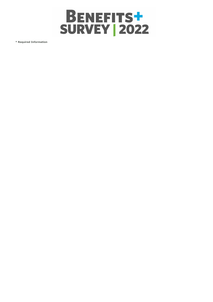

**\* Required Information**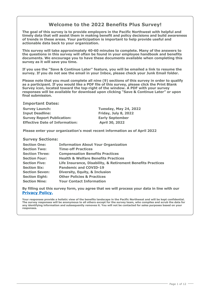# **Welcome to the 2022 Benefits Plus Survey!**

**The goal of this survey is to provide employers in the Pacific Northwest with helpful and timely data that will assist them in making benefit and policy decisions and build awareness of trends in these areas. Your participation is important to help provide useful and actionable data back to your organization.**

**This survey will take approximately 40-60 minutes to complete. Many of the answers to the questions in this survey will often be found in your employee handbook and benefits documents. We encourage you to have these documents available when completing this survey as it will save you time.**

**If you use the "Save & Continue Later" feature, you will be emailed a link to resume the survey. If you do not see the email in your Inbox, please check your Junk Email folder.** 

**Please note that you must complete all nine (9) sections of this survey in order to qualify as a participant. If you would like a PDF file of this survey, please click the Print Blank Survey icon, located toward the top-right of the window. A PDF with your survey responses will be available for download upon clicking "Save & Continue Later" or upon final submission.** 

**Important Dates:**

**Survey Launch: Tuesday, May 24, 2022 Input Deadline: Friday, July 8, 2022 Survey Report Publication: Early September Effective Date of Information: April 30, 2022**

**Please enter your organization's most recent information as of April 2022**

# **Survey Sections:**

| <b>Information About Your Organization</b>                  |
|-------------------------------------------------------------|
| <b>Time-off Practices</b>                                   |
| <b>Compensation Benefits Practices</b>                      |
| <b>Health &amp; Welfare Benefits Practices</b>              |
| Life Insurance, Disability, & Retirement Benefits Practices |
| <b>Pandemic and COVID-19</b>                                |
| <b>Diversity, Equity, &amp; Inclusion</b>                   |
| <b>Other Policies &amp; Practices</b>                       |
| <b>Your Contact Information</b>                             |
|                                                             |

**By filling out this survey form, you agree that we will process your data in line with our [Privacy Policy.](https://www.archbright.com/en-us/survey-privacy-policy)**

**Your responses provide a holistic view of the benefits landscape in the Pacific Northwest and will be kept confidential. The survey responses will be anonymous to all others except for the survey team, who compiles and scrub the data for any identifying information and subsequently removes it. You will not be contacted for sales purposes based on your responses.**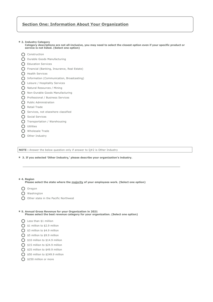# **Section One: Information About Your Organization**

**\* 2. Industry Category**

**Category descriptions are not all-inclusive, you may need to select the closest option even if your specific product or service is not listed. (Select one option)**

- **C** Construction
- O Durable Goods Manufacturing
- **O** Education Services
- Financial (Banking, Insurance, Real Estate)
- **O** Health Services
- Information (Communication, Broadcasting)
- Leisure / Hospitality Services
- Natural Resources / Mining
- O Non-Durable Goods Manufacturing
- **O** Professional / Business Services
- **O** Public Administration
- O Retail Trade
- **O** Services, not elsewhere classified
- **O** Social Services
- Transportation / Warehousing
- **O** Utilities
- O Wholesale Trade
- O Other Industry

**NOTE :** Answer the below question only if answer to Q#2 is Other Industry

**\* 3. If you selected 'Other Industry,' please describe your organization's industry.**

#### **\* 4. Region**

# **Please select the state where the majority of your employees work. (Select one option)**

- O Oregon
- Washington
- O Other state in the Pacific Northwest

#### **\* 5. Annual Gross Revenue for your Organization in 2021 Please select the best revenue category for your organization. (Select one option)**

- C Less than \$1 million
- **O** \$1 million to \$2.9 million
- $\bigcap$  \$3 million to \$4.9 million
- $\bigcirc$  \$5 million to \$9.9 million
- $\bigcirc$  \$10 million to \$14.9 million
- $\bigcap$  \$15 million to \$24.9 million
- $\bigcap$  \$25 million to \$49.9 million
- **O** \$50 million to \$249.9 million
- $\bigcirc$  \$250 million or more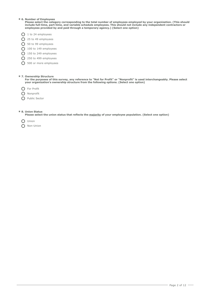# **\* 6. Number of Employees**

**Please select the category corresponding to the total number of employees employed by your organization. (This should include full-time, part-time, and variable schedule employees. This should not include any independent contractors or employees provided by and paid through a temporary agency.) (Select one option)**

- $\bigcap$  1 to 24 employees
- 25 to 49 employees
- 50 to 99 employees
- 100 to 149 employees
- 150 to 249 employees
- 250 to 499 employees
- **O** 500 or more employees

# **\* 7. Ownership Structure**

**For the purposes of this survey, any reference to "Not for Profit" or "Nonprofit" is used interchangeably. Please select your organization's ownership structure from the following options. (Select one option)**

**O** For Profit

- O Nonprofit
- **O** Public Sector

## **\* 8. Union Status**

**Please select the union status that reflects the majority of your employee population. (Select one option)**



O Non-Union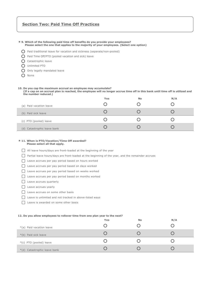# **Section Two: Paid Time Off Practices**

# **\* 9. Which of the following paid time off benefits do you provide your employees?**

- **Please select the one that applies to the majority of your employees. (Select one option)**
- $\bigcap$  Paid traditional leave for vacation and sickness (separate/non-pooled)
- $\bigcirc$  Paid Time Off/PTO (pooled vacation and sick) leave
- **C** Catastrophic leave
- O Unlimited PTO
- O Only legally mandated leave
- O None

### **10. Do you cap the maximum accrual an employee may accumulate?**

**(If a cap on an accrual plan is reached, the employee will no longer accrue time off in this bank until time off is utilized and the number reduced.)**

|                             | Yes | <b>No</b> | N/A |
|-----------------------------|-----|-----------|-----|
| (a) Paid vacation leave     |     |           |     |
| (b) Paid sick leave         |     |           |     |
| (c) PTO (pooled) leave      |     |           |     |
| (d) Catastrophic leave bank |     |           |     |

#### **\* 11. When is PTO/Vacation/TIme Off awarded? Please select all that apply.**

All leave hours/days are front-loaded at the beginning of the year

- Partial leave hours/days are front-loaded at the beginning of the year, and the remainder accrues
- □ Leave accrues per pay period based on hours worked
- □ Leave accrues per pay period based on days worked
- □ Leave accrues per pay period based on weeks worked
- □ Leave accrues per pay period based on months worked
- □ Leave accrues quarterly
- **C** Leave accrues yearly
- □ Leave accrues on some other basis
- □ Leave is unlimited and not tracked in above-listed ways
- □ Leave is awarded on some other basis

### **12. Do you allow employees to rollover time from one plan year to the next?**

|                              | Yes | <b>No</b> | N/A |
|------------------------------|-----|-----------|-----|
| *(a) Paid vacation leave     |     |           |     |
| *(b) Paid sick leave         |     |           |     |
| *(c) PTO (pooled) leave      |     |           |     |
| *(d) Catastrophic leave bank |     |           |     |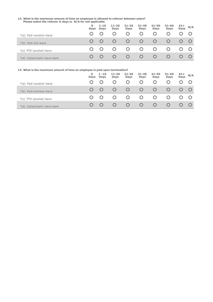#### **13. What is the maximum amount of time an employee is allowed to rollover between years? Please select the rollover in days or N/A for not applicable.**

|                              | $\Omega$<br>Days | $1 - 10$<br><b>Days</b> | $11 - 20$<br>Days | $21 - 30$<br>Days | $31 - 40$<br>Days | $41 - 50$<br><b>Days</b> | $51 - 60$<br><b>Days</b> | $61+$<br>Days | N/A |
|------------------------------|------------------|-------------------------|-------------------|-------------------|-------------------|--------------------------|--------------------------|---------------|-----|
| *(a) Paid vacation leave     |                  |                         |                   |                   |                   |                          |                          |               |     |
| *(b) Paid sick leave         |                  |                         | $\cup$            | $\cup$            | $\circ$           | $\circ$                  |                          |               |     |
| *(c) PTO (pooled) leave      |                  |                         | $\cup$            | $\cup$            | $\circ$           | $\cup$                   | Ő                        |               |     |
| *(d) Catastrophic leave bank |                  |                         | $\left( \right)$  | $\cup$            | $\cup$            | $\cup$                   | $\mathbf C$              |               |     |

| 14. What is the maximum amount of time an employee is paid upon termination? |           |                         |                          |                          |                   |                   |                   |               |     |
|------------------------------------------------------------------------------|-----------|-------------------------|--------------------------|--------------------------|-------------------|-------------------|-------------------|---------------|-----|
|                                                                              | 0<br>Days | $1 - 10$<br><b>Days</b> | $11 - 20$<br><b>Days</b> | $21 - 30$<br><b>Days</b> | $31 - 40$<br>Days | $41 - 50$<br>Days | $51 - 60$<br>Days | $61+$<br>Days | N/A |
| *(a) Paid vacation leave                                                     |           |                         |                          | O                        |                   |                   |                   |               |     |
| *(b) Paid sickness leave                                                     |           |                         |                          | $\cup$                   | $\cup$            |                   |                   |               |     |
| $*(c)$ PTO (pooled) leave                                                    |           |                         |                          | $\left( \right)$         |                   |                   |                   |               |     |
| Catastrophic leave bank<br>$*(d)$                                            |           |                         |                          | $\mathcal{O}$            | $\left( \right)$  | $\mathcal{C}$     |                   |               |     |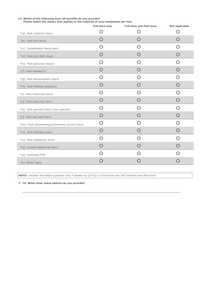| 15. Which of the following time off benefits do you provide?<br>Please select the option that applies to the majority of your employees per line. |                       |                                |                |  |  |  |
|---------------------------------------------------------------------------------------------------------------------------------------------------|-----------------------|--------------------------------|----------------|--|--|--|
|                                                                                                                                                   | <b>Full-time only</b> | <b>Full-time and Part-time</b> | Not applicable |  |  |  |
| *(a) Paid vacation leave                                                                                                                          | O                     | ( )                            | O              |  |  |  |
| *(b) Paid sick leave                                                                                                                              | $\bigcap$             | $\bigcap$                      | $\bigcap$      |  |  |  |
| *(c) Catastrophic leave bank                                                                                                                      | O                     | O                              | $\bigcap$      |  |  |  |
| *(d) Paid jury duty leave                                                                                                                         | O                     | O                              | O              |  |  |  |
| *(e) Paid personal day(s)                                                                                                                         | $\bigcap$             | O                              | O              |  |  |  |
| *(f) Paid holiday(s)                                                                                                                              | O                     | O                              | O              |  |  |  |
| *(g) Paid bereavement leave                                                                                                                       | $\bigcirc$            | ∩                              | $\bigcap$      |  |  |  |
| *(h) Paid floating holiday(s)                                                                                                                     | $\bigcap$             | $\bigcap$                      | $\bigcap$      |  |  |  |
| *(i) Paid maternity leave                                                                                                                         | $\bigcap$             | ∩                              | ∩              |  |  |  |
| *(j) Paid paternity leave                                                                                                                         | O                     | O                              | O              |  |  |  |
| *(k) Paid parental leave (non-specific)                                                                                                           | O                     | O                              | O              |  |  |  |
| *(I) Paid new pet leave                                                                                                                           | O                     | O                              | O              |  |  |  |
| *(m) Paid volunteering/community service leave                                                                                                    | O                     | O                              | O              |  |  |  |
| *(n) Paid birthday leave                                                                                                                          | O                     | O                              | O              |  |  |  |
| *(o) Paid sabbatical leave                                                                                                                        | O                     | O                              | O              |  |  |  |
| *(p) Unpaid sabbatical leave                                                                                                                      | $\bigcap$             | O                              | O              |  |  |  |
| *(q) Unlimited PTO                                                                                                                                | O                     | ∩                              | $\bigcap$      |  |  |  |
| *(r) Other leave                                                                                                                                  | $\left( \ \right)$    | 〔 〕                            | 〔 〕            |  |  |  |

**NOTE :** Answer the below question only if answer to Q#15(r) is Full-time only OR Full-time and Part-time

**\* 16. What other leave options do you provide?**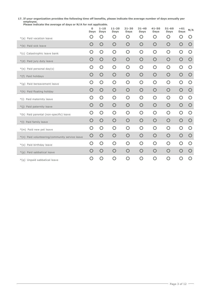#### **17. If your organization provides the following time off benefits, please indicate the average number of days annually per employee. Please indicate the average of days or N/A for not applicable.**

|                                                | 0<br>Days    | $1 - 10$<br>Days | $11 - 20$<br>Days | $21 - 30$<br>Days | $31 - 40$<br>Days | $41 - 50$<br>Days | $51 - 60$<br>Days | $+61$<br>Days                                   | N/A                                             |
|------------------------------------------------|--------------|------------------|-------------------|-------------------|-------------------|-------------------|-------------------|-------------------------------------------------|-------------------------------------------------|
| *(a) Paid vacation leave                       | 〔 〕          | O                | O                 | O                 | O                 | O                 | O                 | O                                               | $\left( \begin{array}{c} 1 \end{array} \right)$ |
| *(b) Paid sick leave                           | O            | O                | O                 | O                 | $\bigcirc$        | O                 | O                 | $\bigcirc$                                      | $\bigcirc$                                      |
| *(c) Catastrophic leave bank                   | O            | O                | $\bigcirc$        | O                 | O                 | O                 | $\bigcirc$        | O                                               | O                                               |
| *(d) Paid jury duty leave                      | $\mathsf{O}$ | $\bigcirc$       | $\bigcirc$        | $\bigcirc$        | $\bigcirc$        | $\bigcirc$        | $\bigcirc$        | $\bigcirc$                                      | $\bigcirc$                                      |
| *(e) Paid personal day(s)                      | O            | O                | $\overline{O}$    | O                 | O                 | O                 | $\bigcirc$        | O                                               | $\bigcirc$                                      |
| *(f) Paid holidays                             | O            | $\mathsf{O}$     | $\bigcirc$        | $\bigcirc$        | O                 | $\bigcirc$        | $\bigcirc$        | $\bigcirc$                                      | $\bigcirc$                                      |
| *(g) Paid bereavement leave                    | O            | O                | O                 | O                 | O                 | O                 | O                 | O                                               | O                                               |
| *(h) Paid floating holiday                     | O            | O                | $\bigcirc$        | $\bigcirc$        | O                 | $\bigcirc$        | $\bigcirc$        | $\bigcirc$                                      | $\bigcirc$                                      |
| *(i) Paid maternity leave                      | O            | O                | O                 | O                 | O                 | O                 | O                 | O                                               | $\bigcirc$                                      |
| Paid paternity leave<br>$*(j)$                 | $\mathsf{O}$ | $\bigcirc$       | $\bigcirc$        | $\bigcirc$        | $\bigcirc$        | $\bigcirc$        | $\bigcirc$        | $\bigcirc$                                      | $\bigcirc$                                      |
| *(k) Paid parental (non-specific) leave        | O            | O                | $\overline{O}$    | $\bigcirc$        | O                 | $\bigcirc$        | $\bigcirc$        | $\overline{O}$                                  | $\bigcirc$                                      |
| *(I) Paid family leave                         | O            | $\mathsf{O}$     | $\bigcirc$        | $\bigcirc$        | O                 | $\bigcirc$        | $\bigcirc$        | $\bigcirc$                                      | $\bigcirc$                                      |
| *(m) Paid new pet leave                        | O            | O                | O                 | O                 | $\bigcap$         | O                 | $\bigcirc$        | $\bigcap$                                       | O                                               |
| *(n) Paid volunteering/community service leave | O            | $\bigcirc$       | $\bigcirc$        | O                 | O                 | $\bigcirc$        | $\bigcirc$        | $\bigcirc$                                      | $\bigcirc$                                      |
| *(o) Paid birthday leave                       | O            | $\bigcirc$       | $\bigcirc$        | O                 | O                 | $\bigcirc$        | O                 | O                                               | $\bigcirc$                                      |
| *(p) Paid sabbatical leave                     | Ő            | O                | $\bigcirc$        | O                 | O                 | O                 | $\bigcirc$        | $\bigcirc$                                      | $\bigcirc$                                      |
| *(q) Unpaid sabbatical leave                   | O            | $\bigcap$        | O                 | O                 | O                 | O                 | $\bigcirc$        | $\left( \begin{array}{c} 1 \end{array} \right)$ | $\bigcap$                                       |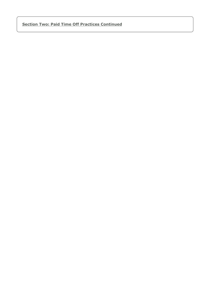# **Section Two: Paid Time Off Practices Continued**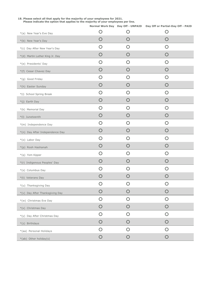# **Please indicate the option that applies to the majority of your employees per line.** \*(a) New Year's Eve Day \*(b) New Year's Day \*(c) Day After New Year's Day \*(d) Martin Luther King Jr. Day \*(e) Presidents' Day \*(f) Cesar Chavez Day \*(g) Good Friday \*(h) Easter Sunday \*(i) School Spring Break \*(j) Earth Day \*(k) Memorial Day \*(l) Juneteenth \*(m) Independence Day \*(n) Day After Independence Day \*(o) Labor Day \*(p) Rosh Hashanah \*(q) Yom Kipper \*(r) Indigenous Peoples' Day \*(s) Columbus Day \*(t) Veterans Day \*(u) Thanksgiving Day \*(v) Day After Thanksgiving Day \*(w) Christmas Eve Day \*(x) Christmas Day \*(y) Day After Christmas Day \*(z) Birthdays \*(aa) Personal Holidays \*(ab) Other holiday(s) **Normal Work Day Day Off - UNPAID Day Off or Partial-Day Off - PAID**  $\circ$   $\circ$   $\circ$   $\circ$  $\circ$   $\circ$   $\circ$   $\circ$  $\circ$   $\circ$   $\circ$   $\circ$  $\circ$   $\circ$   $\circ$   $\circ$  $\circ$   $\circ$   $\circ$   $\circ$  $\circ$   $\circ$   $\circ$   $\circ$  $\circ$   $\circ$   $\circ$   $\circ$  $\circ$   $\circ$   $\circ$   $\circ$  $\circ$   $\circ$   $\circ$   $\circ$  $\circ$   $\circ$   $\circ$   $\circ$  $\circ$   $\circ$   $\circ$   $\circ$  $\circ$   $\circ$   $\circ$   $\circ$  $\circ$   $\circ$   $\circ$   $\circ$  $\circ$   $\circ$   $\circ$   $\circ$  $\circ$   $\circ$   $\circ$   $\circ$  $\circ$   $\circ$   $\circ$   $\circ$  $\circ$   $\circ$   $\circ$   $\circ$  $\circ$   $\circ$   $\circ$   $\circ$  $\circ$   $\circ$   $\circ$   $\circ$  $\circ$   $\circ$   $\circ$   $\circ$  $\circ$   $\circ$   $\circ$   $\circ$  $\circ$   $\circ$   $\circ$   $\circ$  $\circ$   $\circ$   $\circ$   $\circ$  $\circ$   $\circ$   $\circ$   $\circ$  $\circ$   $\circ$   $\circ$   $\circ$  $\circ$   $\circ$   $\circ$   $\circ$  $\circ$   $\circ$   $\circ$   $\circ$  $\circ$   $\circ$   $\circ$

**18. Please select all that apply for the majority of your employees for 2021.**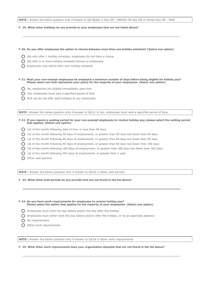**NOTE :** Answer the below question only if answer to Q#18(ab) is Day Off - UNPAID OR Day Off or Partial-Day Off - PAID

### **\* 19. What other holidays do you provide to your employees that are not listed above?**

#### **\* 20. Do you offer employees the option to choose between more than one holiday schedule? (Select one option)**

- We only offer 1 holiday schedule, employees do not have a choice
- $\bigcap$  We offer 2 or more holiday schedule choices to employees
- $\bigcap$  Employees may define their own holiday schedule
- **\* 21. Must your non-exempt employees be employed a minimum number of days before being eligible for holiday pay? Please select one that represents your policy for the majority of your employees. (Select one option)**
	- No, employees are eligible immediately upon hire
	- $\bigcap$  Yes, employees must wait a specified period of time
	- $\bigcirc$  N/A-we do not offer paid holidays to our employees

**NOTE :** Answer the below question only if answer to Q#21 is Yes, employees must wait a specified period of time

- **\* 22. If you require a waiting period for your non-exempt employees to receive holiday pay, please select the waiting period that applies: (Select one option)**
	- $\bigcirc$  1st of the month following date of hire, or less than 30 days
	- $\bigcirc$  1st of the month following 30 days of employment, or greater than 30 days but fewer than 60 days
	- $\bigcap$  1st of the month following 60 days of employment, or greater than 60 days but fewer than 90 days
	- $\bigcirc$  1st of the month following 90 days of employment, or greater than 90 days but fewer than 180 days
	- $\bigcap$  1st of the month following 180 days of employment, or greater than 180 days but fewer than 365 days
	- $\bigcirc$  1st of the month following 365 days of employment, or greater than 1 year
	- $\bigcap$  Other wait periods

**NOTE :** Answer the below question only if answer to Q#22 is Other wait periods

**\* 23. What other wait periods do you provide that are not found in the list above?**

**\* 24. Do you have work requirements for employees to receive holiday pay? Please select the option that applies for the majority of your employees. (Select one option)**

- $\bigcirc$  Employees must work the day before and/or the day after the holiday
- $\bigcap$  Employees must either work the day before and/or after the holiday, or be an approved absence
- O No requirements
- O Other work requirements

**NOTE :** Answer the below question only if answer to Q#24 is Other work requirements

**\* 25. What other work requirements does your organization stipulate that are not found in the list above?**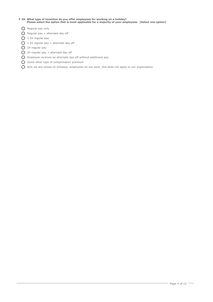# **\* 26. What type of incentive do you offer employees for working on a holiday? Please select the option that is most applicable for a majority of your employees. (Select one option)**

- **O** Regular pay only
- $\bigcirc$  Regular pay + alternate day off
- $O$  1.5X regular pay
- $\bigcirc$  1.5X regular pay + alternate day off
- 2X regular pay
- $Q$  2X regular pay + alternate day off
- Employee receives an alternate day off without additional pay
- **O** Some other type of compensation premium
- N/A–we are closed on holidays, employees do not work, this does not apply to our organization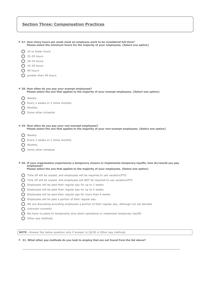# **Section Three: Compensation Practices**

| 24 or fewer hours                                                                                                                                     |
|-------------------------------------------------------------------------------------------------------------------------------------------------------|
| 25-29 hours                                                                                                                                           |
| 30-34 hours                                                                                                                                           |
| 35-39 hours                                                                                                                                           |
| 40 hours                                                                                                                                              |
| greater than 40 hours                                                                                                                                 |
|                                                                                                                                                       |
| * 28. How often do you pay your exempt employees?<br>Please select the one that applies to the majority of your exempt employees. (Select one option) |
| Weekly                                                                                                                                                |
| Every 2 weeks or 2 times monthly                                                                                                                      |
| Monthly                                                                                                                                               |

**Please select the minimum hours for the majority of your employees. (Select one option)**

**\* 27. How many hours per week must an employee work to be considered full-time?**

- 
- O Some other schedule
- **\* 29. How often do you pay your non-exempt employees? Please select the one that applies to the majority of your non-exempt employees. (Select one option)**
	- O Weekly

◯ Every 2 weeks or 2 times monthly

- O Monthly
- Some other schedule

#### **\* 30. If your organization experiences a temporary closure or implements temporary layoffs, how do/would you pay employees? Please select the one that applies to the majority of your employees. (Select one option)**

- 
- Time off will be unpaid, and employees will be required to use vacation/PTO
- Time off will be unpaid, and employees will NOT be required to use vacation/PTO
- $\bigcap$  Employees will be paid their regular pay for up to 2 weeks
- $\bigcirc$  Employees will be paid their regular pay for up to 4 weeks
- $\bigcirc$  Employees will be paid their regular pay for more than 4 weeks
- $\bigcap$  Employees will be paid a portion of their regular pay
- $\bigcap$  We are discussing providing employees a portion of their regular pay, although not yet decided
- O Unknown currently
- $\bigcirc$  We have no plans to temporarily shut down operations or implement temporary layoffs
- $\bigcap$  Other pay methods

**NOTE :** Answer the below question only if answer to Q#30 is Other pay methods

### **\* 31. What other pay methods do you look to employ that are not found from the list above?**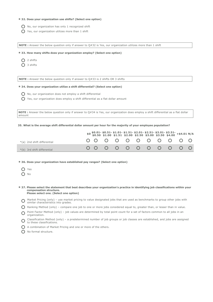# **\* 32. Does your organization use shifts? (Select one option)**

- $\bigcap$  No, our organization has only 1 recognized shift
- $\bigcap$  Yes, our organization utilizes more than 1 shift

**NOTE :** Answer the below question only if answer to Q#32 is Yes, our organization utilizes more than 1 shift

**\* 33. How many shifts does your organization employ? (Select one option)**

- Q 2 shifts
- ◯ 3 shifts

**NOTE :** Answer the below question only if answer to Q#33 is 2 shifts OR 3 shifts

**\* 34. Does your organization utilize a shift differential? (Select one option)**

- $\bigcap$  No, our organization does not employ a shift differential
- $\bigcap$  Yes, our organization does employ a shift differential as a flat dollar amount

**NOTE :** Answer the below question only if answer to Q#34 is Yes, our organization does employ a shift differential as a flat dollar amount

**35. What is the average shift differential dollar amount per hour for the majority of your employee population?**

|                             |  |  |  |  | $$0,50.51-$ \$1.01 - \$1.51 - \$2.01 - \$2.51 - \$3.01 - \$3.51 - \$4.01 N/A<br>\$0.50 \$1.00 \$1.51 \$2.00 \$2.50 \$3.00 \$3.50 \$4.00 + \$4.01 N/A |  |
|-----------------------------|--|--|--|--|------------------------------------------------------------------------------------------------------------------------------------------------------|--|
| *(a) 2nd shift differential |  |  |  |  | 00 0 0 0 0 0 0 0 0 0                                                                                                                                 |  |
| *(b) 3rd shift differential |  |  |  |  | 00000000000                                                                                                                                          |  |

**\* 36. Does your organization have established pay ranges? (Select one option)**

- O Yes
- $O$  No

**\* 37. Please select the statement that best describes your organization's practice in identifying job classifications within your compensation structure. Please select one. (Select one option)**

- $\bigcirc$  Market Pricing (only) use market pricing to value designated jobs that are used as benchmarks to group other jobs with  $\bigcirc$ similar characteristics into grades.
- $\bigcirc$  Ranking Method (only) compare one job to one or more jobs considered equal to, greater than, or lesser than in value.
- $\bigcirc$  Point Factor Method (only) job values are determined by total point count for a set of factors common to all jobs in an<br>O proanization organization.

 $\circ$ Classification Method (only) – a predetermined number of job groups or job classes are established, and jobs are assigned to these classifications.

- A combination of Market Pricing and one or more of the others.
- $\bigcap$  No formal structure.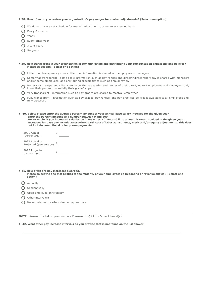#### **\* 38. How often do you review your organization's pay ranges for market adjustments? (Select one option)**

 $\bigcap$  We do not have a set schedule for market adjustments, or on an as-needed basis

- **O** Every 6 months
- O Yearly
- O Every other year
- $\bigcap$  3 to 4 years
- $\bigcap$  5+ years
- 

| * 39. How transparent is your organization in communicating and distributing your compensation philosophy and policies? |  |
|-------------------------------------------------------------------------------------------------------------------------|--|
| Please select one. (Select one option)                                                                                  |  |

- Little to no transparency very little to no information is shared with employees or managers
- $\bigcirc$  Somewhat transparent some basic information such as pay ranges and direct/indirect report pay is shared with managers and collection sympatic times such as annual review. and/or some employees, and only during specific times such as annual review
- $\bigcirc$  Moderately transparent Managers know the pay grades and ranges of their direct/indirect employees and employees only  $\bigcirc$ know their pay and potentially their grade/range
- $\bigcap$  Very transparent information such as pay grades are shared to most/all employees
- $\bigcirc$  Fully transparent information such as pay grades, pay ranges, and pay practices/policies is available to all employees and<br> $\bigcirc$  fully discussed fully discussed

**\* 40. Below please enter the average percent amount of your annual base salary increase for the given year. Enter the percent amount as a number between 0 and 100. For example, if you increased salaries by 2.2% enter 2.2. Enter 0 if no amount is/was provided in the given year. Increases for base pay include across-the-board, cost of labor adjustments, merit and/or equity adjustments. This does not include promotional or lump sum payments.**

| 2021 Actual<br>(percentage)              |  |
|------------------------------------------|--|
| 2022 Actual or<br>Projected (percentage) |  |
| 2023 Projected<br>(percentage)           |  |

#### **\* 41. How often are pay increases awarded? Please select the one that applies to the majority of your employees (if budgeting or revenue allows). (Select one option)**

- **O** Annually
- $\bigcap$  Semiannually
- O Upon employee anniversary
- $\bigcirc$  Other interval(s)
- ◯ No set interval, or when deemed appropriate

**NOTE** : Answer the below question only if answer to Q#41 is Other interval(s)

#### **\* 42. What other pay increase intervals do you provide that is not found on the list above?**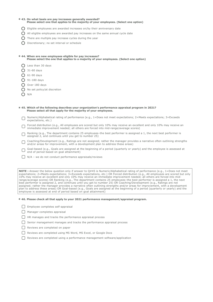#### **\* 43. On what basis are pay increases generally awarded? Please select one that applies to the majority of your employees. (Select one option)**

- $\bigcirc$  Eligible employees are awarded increases on/by their anniversary date
- $\bigcirc$  All eligible employees are awarded pay increases on the same annual cycle date
- $\bigcap$  There are multiple pay increase cycles during the year
- Discretionary; no set interval or schedule

# **\* 44. When are new employees eligible for pay increases? Please select the one that applies to a majority of your employees. (Select one option)**

- Q Less than 30 days
- $\bigcap$  31-60 days
- $O$  61-90 days
- $O$  91-180 days
- $O$  Over 180 days
- $\bigcap$  No set policy/at discretion
- $\bigcap$  N/A

**\* 45. Which of the following describes your organization's performance appraisal program in 2021? Please select all that apply for the majority of your employees.**

- $\Box$ Numeric/Alphabetical rating of performance (e.g., 1=Does not meet expectations; 2=Meets expectations; 3=Exceeds expectations, etc.)
- $\Box$ Forced distribution (e.g., All employees are scored but only 10% may receive an excellent and only 10% may receive an immediate improvement needed; all others are forced into mid-range/average scores)
- $\Box$ Ranking (e.g., The department contains 25 employees–the best performer is assigned a 1, the next best performer is assigned 2, and continues until you get to number 25)
- $\Box$ Coaching/Development (e.g., Ratings are not assigned; rather the manager provides a narrative often outlining strengths and/or areas for improvement, with a development plan to address these areas)
- $\Box$ Goal-based (e.g., Goals are assigned at the beginning of a period (quarterly or yearly) and the employee is assessed at end of period based on goal attainment)
- □ N/A we do not conduct performance appraisals/reviews

**NOTE :** Answer the below question only if answer to Q#45 is Numeric/Alphabetical rating of performance (e.g., 1=Does not meet expectations; 2=Meets expectations; 3=Exceeds expectations, etc.) OR Forced distribution (e.g., All employees are scored but only 10% may receive an excellent and only 10% may receive an immediate improvement needed; all others are forced into midrange/average scores) OR Ranking (e.g., The department contains 25 employees–the best performer is assigned a 1, the next best performer is assigned 2, and continues until you get to number 25) OR Coaching/Development (e.g., Ratings are not assigned; rather the manager provides a narrative often outlining strengths and/or areas for improvement, with a development plan to address these areas) OR Goal-based (e.g., Goals are assigned at the beginning of a period (quarterly or yearly) and the employee is assessed at end of period based on goal attainment)

### **\* 46. Please check all that apply to your 2021 performance management/appraisal program.**

- $\Box$  Employee completes self-appraisal
- **Manager completes appraisal**
- □ HR manages and tracks the performance appraisal process
- Senior management manages and tracks the performance appraisal process
- Reviews are completed on paper
- Reviews are completed using MS Word, MS Excel, or Google Docs
- Reviews are completed using a performance management software/application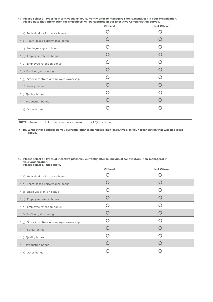**47. Please select all types of incentive plans you currently offer to managers (non-executives) in your organization. Please note that information for executives will be captured in our Executive Compensation Survey.**

|                                             | <b>Offered</b> | <b>Not Offered</b> |
|---------------------------------------------|----------------|--------------------|
| *(a) Individual performance bonus           |                |                    |
| *(b) Team-based performance bonus           |                |                    |
| *(c) Employee sign-on bonus                 |                |                    |
| *(d) Employee referral bonus                |                |                    |
| *(e) Employee retention bonus               |                |                    |
| *(f) Profit or gain sharing                 |                |                    |
| *(g) Stock incentives or employee ownership |                |                    |
| *(h) Safety bonus                           |                |                    |
| *(i) Quality bonus                          |                |                    |
| *(j) Production bonus                       |                |                    |
| *(k) Other bonus                            |                |                    |

**NOTE :** Answer the below question only if answer to Q#47(k) is Offered

**\* 48. What other bonuses do you currently offer to managers (non-executives) in your organization that was not listed above?**

#### **49. Please select all types of incentive plans you currently offer to individual contributors (non-managers) in your organization. Please select all that apply.**

|                                             | <b>Offered</b> | <b>Not Offered</b> |
|---------------------------------------------|----------------|--------------------|
| *(a) Individual performance bonus           |                |                    |
| *(b) Team-based performance bonus           |                |                    |
| *(c) Employee sign-on bonus                 |                |                    |
| *(d) Employee referral bonus                |                |                    |
| *(e) Employee retention bonus               |                |                    |
| *(f) Profit or gain sharing                 |                |                    |
| *(g) Stock incentives or employee ownership |                |                    |
| *(h) Safety bonus                           |                |                    |
| *(i) Quality bonus                          |                |                    |
| *(j) Production bonus                       |                |                    |
| *(k) Other bonus                            |                |                    |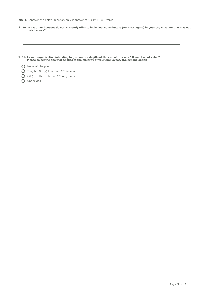```
NOTE : Answer the below question only if answer to Q#49(k) is Offered
```
- **\* 50. What other bonuses do you currently offer to individual contributors (non-managers) in your organization that was not listed above?**
- \* 51. Is your organization intending to give non-cash gifts at the end of this year? If so, at what value?<br>Please select the one that applies to the majority of your employees. (Select one option)
	- O None will be given
	- $\bigcap$  Tangible Gift(s) less than \$75 in value
	- Gift(s) with a value of \$75 or greater
	- O Undecided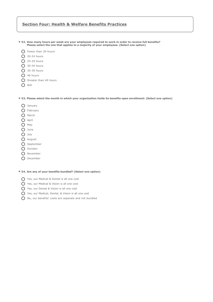# **Section Four: Health & Welfare Benefits Practices**

- **\* 52. How many hours per week are your employees required to work in order to receive full benefits? Please select the one that applies to a majority of your employees. (Select one option)**
	- **O** Fewer than 20 hours
	- $O$  20-24 hours
	- $O$  25-29 hours
	- $\bigcap$  30-34 hours
	- **O** 35-39 hours
	- O 40 hours
	- Greater than 40 hours
	- $O$  N/A

### **\* 53. Please select the month in which your organization holds its benefits open enrollment: (Select one option)**

- O January
- O February
- O March
- **O** April
- $O$  May
- O June
- O July
- O August
- ◯ September
- O October
- O November
- O December

### **\* 54. Are any of your benefits bundled? (Select one option)**

- Yes, our Medical & Dental is all one cost
- Yes, our Medical & Vision is all one cost
- Yes, our Dental & Vision is all one cost
- Yes, our Medical, Dental, & Vision is all one cost
- No, our benefits' costs are separate and not bundled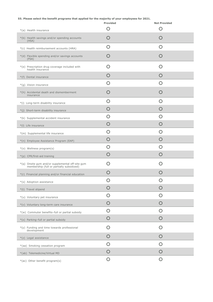# **55. Please select the benefit programs that applied for the majority of your employees for 2021.**

|                                                                                               | <b>Provided</b>                                 | <b>Not Provided</b>                             |
|-----------------------------------------------------------------------------------------------|-------------------------------------------------|-------------------------------------------------|
| *(a) Health insurance                                                                         | $\left( \begin{array}{c} 1 \end{array} \right)$ | $\left( \begin{array}{c} 1 \end{array} \right)$ |
| *(b) Health savings and/or spending accounts<br>(HSA)                                         |                                                 |                                                 |
| *(c) Health reimbursement accounts (HRA)                                                      | O                                               | Ω                                               |
| *(d) Flexible spending and/or savings accounts<br>(FSA)                                       |                                                 |                                                 |
| *(e) Prescription drug coverage included with<br>health insurance                             | $\left( \right)$                                | $\left( \begin{array}{c} \end{array} \right)$   |
| *(f) Dental insurance                                                                         | $\left( \ \right)$                              | ( )                                             |
| *(g) Vision insurance                                                                         | $\left( \right)$                                | 〔 〕                                             |
| *(h) Accidental death and dismemberment<br>insurance                                          | 〔 〕                                             | 〔 〕                                             |
| *(i) Long-term disability insurance                                                           | $\left( \right)$                                | $\left( \ \right)$                              |
| *(j) Short-term disability insurance                                                          | 〔 〕                                             | 〔 〕                                             |
| *(k) Supplemental accident insurance                                                          | O                                               | ( )                                             |
| *(I) Life insurance                                                                           | $\mathbf C$                                     | ( )                                             |
| *(m) Supplemental life insurance                                                              | O                                               | O                                               |
| *(n) Employee Assistance Program (EAP)                                                        | ( )                                             | 〔 〕                                             |
| *(o) Wellness program(s)                                                                      | O                                               | O                                               |
| *(p) CPR/first-aid training                                                                   | Ő                                               | ( )                                             |
| *(q) Onsite gym and/or supplemental off-site gym<br>membership (full or partially subsidized) | 〔 〕                                             |                                                 |
| *(r) Financial planning and/or financial education                                            |                                                 |                                                 |
| *(s) Adoption assistance                                                                      | O                                               | O                                               |
| *(t) Travel stipend                                                                           | $\left(\begin{array}{c} 1 \end{array}\right)$   |                                                 |
| *(u) Voluntary pet insurance                                                                  | O                                               | O                                               |
| *(v) Voluntary long-term care insurance                                                       | O                                               | O                                               |
| *(w) Commuter benefits-full or partial subsidy                                                | O                                               | O                                               |
| *(x) Parking-full or partial subsidy                                                          | O                                               | O                                               |
| *(y) Funding and time towards professional<br>development                                     | O                                               | O                                               |
| *(z) Legal assistance                                                                         | O                                               | O                                               |
| *(aa) Smoking cessation program                                                               | O                                               | O                                               |
| *(ab) Telemedicine/Virtual MD                                                                 | O                                               | O                                               |
| *(ac) Other benefit program(s)                                                                | $\bigcirc$                                      | $\bigcirc$                                      |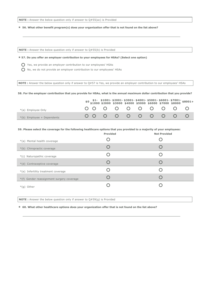**NOTE :** Answer the below question only if answer to Q#55(ac) is Provided

**\* 56. What other benefit program(s) does your organization offer that is not found on the list above?**

**NOTE :** Answer the below question only if answer to Q#55(b) is Provided

### **\* 57. Do you offer an employer contribution to your employees for HSAs? (Select one option)**

Yes, we provide an employer contribution to our employees' HSAs

 $\bigcirc$  No, we do not provide an employer contribution to our employees' HSAs

**NOTE :** Answer the below question only if answer to Q#57 is Yes, we provide an employer contribution to our employees' HSAs

#### **58. For the employer contribution that you provide for HSAs, what is the annual maximum dollar contribution that you provide?**

|                              |  |  |            |  |  | $$0 \$1-$1001-$2001-$3001-$4001-$5001-$6001-$7001-$8001+$0 $1000 $2000 $3000 $4000 $5000 $6000 $7000 $8000 $8000+$ |
|------------------------------|--|--|------------|--|--|--------------------------------------------------------------------------------------------------------------------|
| *(a) Employee Only           |  |  | 0000000000 |  |  |                                                                                                                    |
| $*(b)$ Employee + Dependents |  |  | 0000000000 |  |  |                                                                                                                    |

**59. Please select the coverage for the following healthcare options that you provided to a majority of your employees:**

|                                           | <b>Provided</b> | <b>Not Provided</b> |
|-------------------------------------------|-----------------|---------------------|
| *(a) Mental health coverage               |                 |                     |
| *(b) Chiropractic coverage                |                 |                     |
| *(c) Naturopathic coverage                |                 |                     |
| *(d) Contraceptive coverage               |                 |                     |
| *(e) Infertility treatment coverage       |                 |                     |
| *(f) Gender reassignment surgery coverage |                 |                     |
| $*(q)$ Other                              |                 |                     |
|                                           |                 |                     |

**NOTE :** Answer the below question only if answer to Q#59(g) is Provided

**\* 60. What other healthcare options does your organization offer that is not found on the list above?**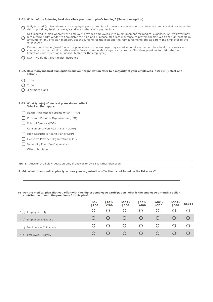#### **\* 61. Which of the following best describes your health plan's funding? (Select one option)**

- $\bigcirc$  Fully insured (a plan whereby the employer pays a premium for ins<br>in thisk of providing health coverage and associated claim payments.) Fully insured (a plan whereby the employer pays a premium for insurance coverage to an insurer company that assumes the
- $\Omega$ Self-insured (a plan whereby the employer provides employees with reimbursement for medical expenses. An employer may hire a third-party vendor to administer the plan and purchase stop-loss insurance to protect themselves from high-cost claim amounts on any one plan member, but the funding for the plan and the reimbursements are paid from the employer to the employee.)
- $\bigcap$ Partially self-funded/level funded (a plan whereby the employer pays a set amount each month to a healthcare services company to cover administrative costs, fees and embedded stop-loss insurance. Stop-loss provides for risk retention limitations and serves as a financial buffer for the employer.)
- $\bigcap$  N/A we do not offer health insurance
- **\* 62. How many medical plan options did your organization offer to a majority of your employees in 2021? (Select one option)**
	- $O<sub>1</sub>$  plan
	- $\Omega$  2 plan
	- ◯ 3 or more plans

#### **\* 63. What type(s) of medical plans do you offer? Select all that apply.**

- Health Maintenance Organization (HMO)
- Preferred Provider Organization (PPO)
- Point of Service (POS)
- Consumer-Driven Health Plan (CDHP)
- High-Deductible Health Plan (HDHP)
- Exclusive Provider Organization (EPO)
- □ Indemnity Plan (fee-for-service)
- $\Box$  Other plan type

**NOTE :** Answer the below question only if answer to Q#63 is Other plan type

- **\* 64. What other medical plan type does your organization offer that is not found on the list above?**
- **65. For the medical plan that you offer with the highest employee participation, what is the employee's monthly dollar contribution toward the premiums for this plan?**

|                              | $$0-$<br>\$100 | $$101-$<br>\$200 | $$201-$<br>\$300 | $$301-$<br>\$400 | $$401-$<br>\$500 | $$501-$<br>\$600 | $$601+$ |
|------------------------------|----------------|------------------|------------------|------------------|------------------|------------------|---------|
| *(a) Employee Only           |                | Ő                | Ő                | O                |                  |                  |         |
| $*(b)$ Employee + Spouse     |                |                  |                  |                  |                  |                  |         |
| $*(c)$ Employee + Child(ren) |                | Ő                |                  |                  |                  |                  |         |
| $*(d)$ Employee + Family     |                | Ő                | Ő                | Ő                |                  |                  |         |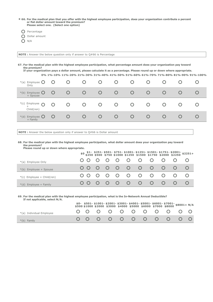| * 66. For the medical plan that you offer with the highest employee participation, does your organization contribute a percent |
|--------------------------------------------------------------------------------------------------------------------------------|
| or flat dollar amount toward the premium?                                                                                      |
| Please select one. (Select one option)                                                                                         |

- O Percentage
- O Dollar amount
- $O$  N/A
- 

**NOTE :** Answer the below question only if answer to Q#66 is Percentage

**67. For the medical plan with the highest employee participation, what percentage amount does your organization pay toward the premium? If your organization pays a dollar amount, please calculate it as a percentage. Please round up or down where appropriate.**

|  | ar vigamizanon pajo a avnar amoang picaoc caraalato it ao a percentager i icaoc roana ap or aomir micro appropriater |  |  |
|--|----------------------------------------------------------------------------------------------------------------------|--|--|
|  | 0% 1%-10% 11%-20% 21%-30% 31%-40% 41%-50% 51%-60% 61%-70% 71%-80% 81%-90% 91%-100%                                   |  |  |

| *(a) Employee $\bigcirc$<br>Only               | $\circ$    |  | Ő      | Ő       | O          |               |        |  |
|------------------------------------------------|------------|--|--------|---------|------------|---------------|--------|--|
| *(b) Employee $\bigcirc$<br>+ Spouse           | $\circ$    |  | $\cup$ | O       | $\bigcirc$ | Ő             | $\cup$ |  |
| *(c) Employee<br>$\Omega$<br>$+$<br>Child(ren) | $\bigcirc$ |  | O      | $\circ$ | $\circ$    | $\cup$        | Ő      |  |
| *(d) Employee $\bigcirc$<br>+ Family           | $\cup$     |  | $\cup$ | $\circ$ | $\Omega$   | $\mathcal{L}$ | $\cup$ |  |
|                                                |            |  |        |         |            |               |        |  |

**NOTE :** Answer the below question only if answer to Q#66 is Dollar amount

**68. For the medical plan with the highest employee participation, what dollar amount does your organization pay toward the premium? Please round up or down where appropriate.**

|                              |  |  |        |             |         |  | $$0$ \$1- \$251- \$501- \$751- \$1001- \$1251- \$1501- \$1751- \$2001- \$2251+<br>\$0 \$250 \$500 \$750 \$1000 \$1250 \$1500 \$1750 \$2000 \$2250 \$2251+ |
|------------------------------|--|--|--------|-------------|---------|--|-----------------------------------------------------------------------------------------------------------------------------------------------------------|
| *(a) Employee Only           |  |  | 000000 |             | $O$ $O$ |  |                                                                                                                                                           |
| $*(b)$ Employee + Spouse     |  |  |        | 00000000    |         |  |                                                                                                                                                           |
| $*(c)$ Employee + Child(ren) |  |  |        | 00000000000 |         |  |                                                                                                                                                           |
| $*(d)$ Employee + Family     |  |  |        | 00000000    |         |  |                                                                                                                                                           |

**69. For the medical plan with the highest employee participation, what is the In-Network Annual Deductible? If not applicable, select N/A.**

|                          |  | \$0- \$501-\$1001-\$2001-\$3001-\$4001-\$5001-\$6001-\$7001-\$8001+ N/A<br>\$500\$1000\$2000\$3000\$4000\$5000\$6000\$7000\$8000\$8000 |  |  |  |  |
|--------------------------|--|----------------------------------------------------------------------------------------------------------------------------------------|--|--|--|--|
| *(a) Individual Employee |  | 0 0 0 0 0 0 0 0 0 0 0 0                                                                                                                |  |  |  |  |
| $*(b)$ Family            |  | 0 0 0 0 0 0 0 0 0 0 0                                                                                                                  |  |  |  |  |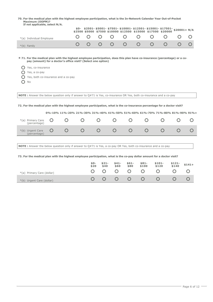**70. For the medical plan with the highest employee participation, what is the In-Network Calendar Year Out-of-Pocket Maximum (OOPM)?**

|     | If not applicable, select N/A.                                                                                             |           |            |           |                                                 |           |   |                                                              |                                                             |                |     |  |
|-----|----------------------------------------------------------------------------------------------------------------------------|-----------|------------|-----------|-------------------------------------------------|-----------|---|--------------------------------------------------------------|-------------------------------------------------------------|----------------|-----|--|
|     |                                                                                                                            |           |            |           |                                                 |           |   | \$2500 \$5000 \$7500 \$10000 \$12500 \$15000 \$17500 \$20000 | $$0-$ \$2501-\$5001-\$7501-\$10001-\$12501-\$15001-\$17501- | $$20001 + N/A$ |     |  |
|     | *(a) Individual Employee                                                                                                   |           |            |           |                                                 |           |   |                                                              |                                                             |                |     |  |
|     | *(b) Family                                                                                                                | $\bigcap$ | $\bigcirc$ | $\bigcap$ | O                                               | O         | O | $\bigcap$                                                    | O                                                           | ( )            |     |  |
|     | * 71. For the medical plan with the highest employee participation, does this plan have co-insurance (percentage) or a co- |           |            |           |                                                 |           |   |                                                              |                                                             |                |     |  |
|     | pay (amount) for a doctor's office visit? (Select one option)                                                              |           |            |           |                                                 |           |   |                                                              |                                                             |                |     |  |
|     | Yes, co-insurance                                                                                                          |           |            |           |                                                 |           |   |                                                              |                                                             |                |     |  |
|     | Yes, a co-pay                                                                                                              |           |            |           |                                                 |           |   |                                                              |                                                             |                |     |  |
|     | Yes, both co-insurance and a co-pay                                                                                        |           |            |           |                                                 |           |   |                                                              |                                                             |                |     |  |
| ( ) | No                                                                                                                         |           |            |           |                                                 |           |   |                                                              |                                                             |                |     |  |
|     |                                                                                                                            |           |            |           |                                                 |           |   |                                                              |                                                             |                |     |  |
|     | NOTE: Answer the below question only if answer to 0#71 is Yes, co-insurance OR Yes, both co-insurance and a co-pay         |           |            |           |                                                 |           |   |                                                              |                                                             |                |     |  |
|     | 72. For the medical plan with the highest employee participation, what is the co-insurance percentage for a doctor visit?  |           |            |           |                                                 |           |   |                                                              |                                                             |                |     |  |
|     | 0%-10% 11%-20% 21%-30% 31%-40% 41%-50% 51%-60% 61%-70% 71%-80% 81%-90% 91%+                                                |           |            |           |                                                 |           |   |                                                              |                                                             |                |     |  |
|     | $\bigcap$<br>*(a) Primary Care<br>O<br>(percentage)                                                                        | 〔 〕       |            | Ω         | $\left( \begin{array}{c} 1 \end{array} \right)$ |           |   |                                                              | $\bigcap$                                                   |                | ( ) |  |
|     | O<br>$\bigcap$<br>*(b) Urgent Care<br>(percentage)                                                                         | $\bigcap$ |            | $\bigcap$ | $\bigcap$                                       | $\bigcap$ |   | $\bigcap$                                                    | $\bigcap$                                                   | $\bigcap$      |     |  |
|     |                                                                                                                            |           |            |           |                                                 |           |   |                                                              |                                                             |                |     |  |
|     | <b>NOTE</b> : Answer the below question only if answer to $Q#71$ is Yes, a co-pay OR Yes, both co-insurance and a co-pay   |           |            |           |                                                 |           |   |                                                              |                                                             |                |     |  |
|     |                                                                                                                            |           |            |           |                                                 |           |   |                                                              |                                                             |                |     |  |

# **73. For the medical plan with the highest employee participation, what is the co-pay dollar amount for a doctor visit?**

|                            | \$0-<br>\$20 | $$21-$<br>\$40 | $$41-$<br>\$60 | $$61-$<br>\$80 | $$81-$<br>\$100                                                                                      | $$101-$<br>\$120 | $$121-$<br>$$140$ | $$141+$ |
|----------------------------|--------------|----------------|----------------|----------------|------------------------------------------------------------------------------------------------------|------------------|-------------------|---------|
| *(a) Primary Care (dollar) |              |                |                |                | $\begin{array}{ccccccccccccccccc} \circ & \circ & \circ & \circ & \circ & \circ & \circ \end{array}$ | $\circ$          |                   |         |
| *(b) Urgent Care (dollar)  |              |                |                |                |                                                                                                      | $\circ$          |                   |         |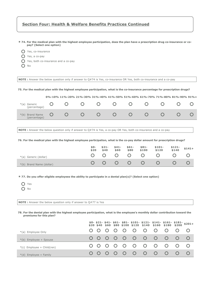| <b>Section Four: Health &amp; Welfare Benefits Practices Continued</b>                                                                                                                                                                                                |         |                                                                             |               |                              |      |                           |                     |   |                  |                            |                                                      |                  |                      |                |
|-----------------------------------------------------------------------------------------------------------------------------------------------------------------------------------------------------------------------------------------------------------------------|---------|-----------------------------------------------------------------------------|---------------|------------------------------|------|---------------------------|---------------------|---|------------------|----------------------------|------------------------------------------------------|------------------|----------------------|----------------|
| * 74. For the medical plan with the highest employee participation, does the plan have a prescription drug co-insurance or co-<br>pay? (Select one option)<br>Yes, co-insurance<br>Yes, a co-pay<br>Yes, both co-insurance and a co-pay<br>No                         |         |                                                                             |               |                              |      |                           |                     |   |                  |                            |                                                      |                  |                      |                |
| NOTE: Answer the below question only if answer to Q#74 is Yes, co-insurance OR Yes, both co-insurance and a co-pay                                                                                                                                                    |         |                                                                             |               |                              |      |                           |                     |   |                  |                            |                                                      |                  |                      |                |
| 75. For the medical plan with the highest employee participation, what is the co-insurance percentage for prescription drugs?                                                                                                                                         |         |                                                                             |               |                              |      |                           |                     |   |                  |                            |                                                      |                  |                      |                |
|                                                                                                                                                                                                                                                                       |         | 0%-10% 11%-20% 21%-30% 31%-40% 41%-50% 51%-60% 61%-70% 71%-80% 81%-90% 91%+ |               |                              |      |                           |                     |   |                  |                            |                                                      |                  |                      |                |
| *(a) Generic<br>(percentage)                                                                                                                                                                                                                                          | O       | $\mathcal{C}$                                                               | $\mathcal{O}$ |                              | O    |                           | $\mathcal{O}$       |   | $\mathcal{O}$    | O                          |                                                      | O                | $\mathcal{C}$        | ( )            |
| *(b) Brand Name<br>(percentage)                                                                                                                                                                                                                                       | $\circ$ | $\mathcal{C}$                                                               | $\bigcirc$    |                              | O    |                           | $\mathcal{O}$       |   | $\circ$          | O                          |                                                      | $\bigcirc$       | O                    |                |
| NOTE: Answer the below question only if answer to Q#74 is Yes, a co-pay OR Yes, both co-insurance and a co-pay<br>76. For the medical plan with the highest employee participation, what is the co-pay dollar amount for prescription drugs?<br>*(a) Generic (dollar) |         |                                                                             |               | $$0-$<br>\$20<br>$\mathbf C$ |      | $$21-$<br>\$40<br>$\circ$ | $$41-$<br>\$60<br>Ő | Ő | $$61-$<br>\$80   | $$81-$<br>\$100<br>$\circ$ | $$101-$<br>\$120<br>Ő                                |                  | \$121-<br>\$140<br>Ő | $$141+$<br>( ) |
| *(b) Brand Name (dollar)                                                                                                                                                                                                                                              |         |                                                                             |               | $\mathbf C$                  |      | $\circ$                   | O                   | Ő |                  | $\mathcal{O}$              | $\mathcal{C}$                                        |                  | $\mathbf C$          | O              |
| * 77. Do you offer eligible employees the ability to participate in a dental plan(s)? (Select one option)<br>Yes<br>No<br><b>NOTE</b> : Answer the below question only if answer to $Q#77$ is Yes                                                                     |         |                                                                             |               |                              |      |                           |                     |   |                  |                            |                                                      |                  |                      |                |
| 78. For the dental plan with the highest employee participation, what is the employee's monthly dollar contribution toward the<br>premiums for this plan?                                                                                                             |         |                                                                             |               |                              |      |                           |                     |   |                  |                            |                                                      |                  |                      |                |
|                                                                                                                                                                                                                                                                       |         |                                                                             |               |                              | \$40 | \$60                      |                     |   | \$80 \$100 \$120 | \$140                      | $$0- $21- $41- $61- $81- $101- $121- $141-$<br>\$160 | $$161-$<br>\$180 | $$181-$<br>\$200     | $$201+$        |
| *(a) Employee Only                                                                                                                                                                                                                                                    |         |                                                                             |               |                              | ()   |                           | Ő                   | Ő | O                | Ő                          | Ő                                                    | Ő                | Ő                    | Ő              |
| *(b) Employee + Spouse                                                                                                                                                                                                                                                |         |                                                                             |               |                              | ( )  | O                         | O                   | O | O                | Ő                          | O                                                    | Ő                | $\bigcirc$           | O              |
| *(c) Employee + Child(ren)                                                                                                                                                                                                                                            |         |                                                                             |               |                              | ( )  |                           | O                   | O | O                | Ő                          | O                                                    | O                | $\bigcirc$           | O              |
| *(d) Employee + Family                                                                                                                                                                                                                                                |         |                                                                             |               |                              |      |                           |                     | O | $\bigcirc$       | O                          | O                                                    | Ő                | $\bigcirc$           | $\mathbf C$    |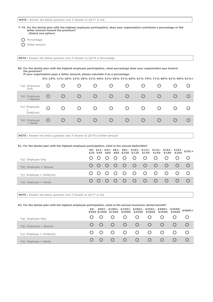**NOTE :** Answer the below question only if answer to Q#77 is Yes

**\* 79. For the dental plan with the highest employee participation, does your organization contribute a percentage or flat dollar amount toward the premium? (Select one option)**

O Percentage

O Dollar amount

**NOTE :** Answer the below question only if answer to Q#79 is Percentage

**80. For the dental plan with the highest employee participation, what percentage does your organization pay toward the premium? If your organization pays a dollar amount, please calculate it as a percentage.**

**0%-10% 11%-20% 21%-30% 31%-40% 41%-50% 51%-60% 61%-70% 71%-80% 81%-90% 91%+**

| *(a) Employee<br>Only              | Ő      | Ő |        | Ő      | Ő | O          | Ő | Ő      |   |  |
|------------------------------------|--------|---|--------|--------|---|------------|---|--------|---|--|
| $*(b)$<br>Employee<br>+ Spouse     | $\cup$ |   |        | $\cup$ | Ő |            | Ő |        |   |  |
| *(c) Employee<br>$+$<br>Child(ren) |        | Ő |        | Ő      | Ő | $\cup$     | Ő | Ő      |   |  |
| $*(d)$<br>Employee<br>+ Family     | Ő      |   | $\cup$ | Ő      | O | $\bigcirc$ | Ő | $\cup$ | Ő |  |

**NOTE** : Answer the below question only if answer to Q#79 is Dollar amount

#### **81. For the dental plan with the highest employee participation, what is the annual deductible?**

|                              |  |  |  |                       |         | $$0-$ \$21- \$41- \$61- \$81- \$101- \$121- \$141- \$161- \$181- \$201+<br>\$20 \$40 \$60 \$80 \$100 \$120 \$140 \$160 \$180 \$200 \$201+ |
|------------------------------|--|--|--|-----------------------|---------|-------------------------------------------------------------------------------------------------------------------------------------------|
| *(a) Employee Only           |  |  |  | 00000000              | $O$ $O$ |                                                                                                                                           |
| $*(b)$ Employee + Spouse     |  |  |  | 0 0 0 0 0 0 0 0 0 0   |         |                                                                                                                                           |
| $*(c)$ Employee + Child(ren) |  |  |  | 0 0 0 0 0 0 0 0 0 0 0 |         |                                                                                                                                           |
| $*(d)$ Employee + Family     |  |  |  | 0 0 0 0 0 0 0 0 0 0   |         |                                                                                                                                           |

**NOTE :** Answer the below question only if answer to Q#77 is Yes

### **82. For the dental plan with the highest employee participation, what is the annual maximum dental benefit?**

|                              |  |                                                                                  |               |           | $$0-$ \$501- \$1001- \$1501- \$2001- \$2501- \$3001- \$3500- \$4000+<br>\$500 \$1000 \$1500 \$2000 \$2500 \$3000 \$3500 \$4000 \$4000+ |
|------------------------------|--|----------------------------------------------------------------------------------|---------------|-----------|----------------------------------------------------------------------------------------------------------------------------------------|
| *(a) Employee Only           |  |                                                                                  |               |           |                                                                                                                                        |
| $*(b)$ Employee + Spouse     |  |                                                                                  | 0 0 0 0 0 0   | $-$ O $-$ |                                                                                                                                        |
| $*(c)$ Employee + Child(ren) |  |                                                                                  | 0 0 0 0 0 0 0 |           |                                                                                                                                        |
| $*(d)$ Employee + Family     |  | $\begin{array}{ccccccccccccc} \circ & \circ & \circ & \circ & \circ \end{array}$ |               | $ O-$     |                                                                                                                                        |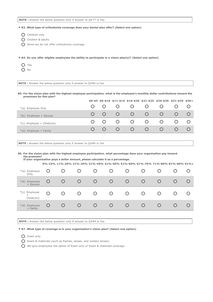**\* 83. What type of orthodontia coverage does your dental plan offer? (Select one option)**

Children only

O Chidren & adults

O None-we do not offer orthodontia coverage

**\* 84. Do you offer eligible employees the ability to participate in a vision plan(s)? (Select one option)**

O Yes

 $O$  No

**NOTE :** Answer the below question only if answer to Q#84 is Yes

**85. For the vision plan with the highest employee participation, what is the employee's monthly dollar contributions toward the premiums for this plan?**

|                              |  |        |                |                | $$0-$5$ \$6-\$10 \$11-\$15 \$16-\$20 \$21-\$25 \$26-\$30 \$31-\$35 \$36+ |  |
|------------------------------|--|--------|----------------|----------------|--------------------------------------------------------------------------|--|
| *(a) Employee Only           |  |        |                |                |                                                                          |  |
| $*(b)$ Employee + Spouse     |  |        | $\circ$        | $\cup$         |                                                                          |  |
| $*(c)$ Employee + Child(ren) |  | $\cup$ | $\overline{O}$ | $\overline{O}$ | $\cup$                                                                   |  |
| $*(d)$ Employee + Family     |  |        | $\cup$         | $\cup$         |                                                                          |  |

**NOTE :** Answer the below question only if answer to Q#84 is Yes

**86. For the vision plan with the highest employee participation, what percentage does your organization pay toward the premium? If your organization pays a dollar amount, please calculate it as a percentage.**

**0%-10% 11%-20% 21%-30% 31%-40% 41%-50% 51%-60% 61%-70% 71%-80% 81%-90% 91%+**

| *(a) Employee<br>Only                 | Ő | O   | Ő      | O      | O          | Ő             | Ő             | Ő                |   |
|---------------------------------------|---|-----|--------|--------|------------|---------------|---------------|------------------|---|
| *(b) Employee<br>+ Spouse             | Ő |     | $\cup$ | $\cup$ | $\bigcirc$ | $\mathcal{O}$ | $\mathcal{C}$ | $\left( \right)$ |   |
| *(c) Employee<br>$^{+}$<br>Child(ren) | O | O   | Ő      | Ő      | O          | Ő             | Ő             | $\circ$          | Ő |
| *(d) Employee<br>+ Family             | Ő | ( ) | $\cup$ | $\cup$ | $\circ$    | Ő             | Ő             | Ő                |   |
|                                       |   |     |        |        |            |               |               |                  |   |

**NOTE :** Answer the below question only if answer to Q#84 is Yes

**\* 87. What type of coverage is in your organization's vision plan? (Select one option)**

Exam only

Exam & materials (such as frames, lenses, and contact lenses)

 $\bigcap$  We give employees the option of Exam only or Exam & materials coverage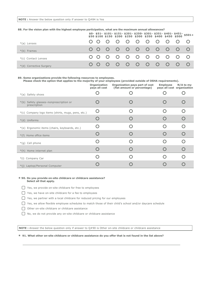### **88. For the vision plan with the highest employee participation, what are the maximum annual allowances?**

|                         |  |  |                       |  |  | $$0- $51- $101- $151- $201- $250- $301- $351- $401- $451- $501+ $50  $100  $150  $200  $250  $300  $350  $400  $450  $500  $501+$ |
|-------------------------|--|--|-----------------------|--|--|-----------------------------------------------------------------------------------------------------------------------------------|
| *(a) Lenses             |  |  | 0 0 0 0 0 0 0 0 0 0 0 |  |  |                                                                                                                                   |
| $*(b)$ Frames           |  |  | 0 0 0 0 0 0 0 0 0 0   |  |  |                                                                                                                                   |
| *(c) Contact Lenses     |  |  | 0 0 0 0 0 0 0 0 0 0 0 |  |  |                                                                                                                                   |
| *(d) Corrective Surgery |  |  | 0 0 0 0 0 0 0 0 0 0 0 |  |  |                                                                                                                                   |

# **89. Some organizations provide the following resources to employees.**

**Please check the option that applies to the majority of your employees (provided outside of OSHA requirements).**

|                                                        | Organization<br>pays all cost | Organization pays part of cost<br>(flat amount or percentage) | <b>Employee</b> | $N/A$ to my<br>pays all cost organization |
|--------------------------------------------------------|-------------------------------|---------------------------------------------------------------|-----------------|-------------------------------------------|
| *(a) Safety shoes                                      |                               |                                                               |                 |                                           |
| *(b) Safety glasses-nonprescription or<br>prescription |                               |                                                               |                 |                                           |
| *(c) Company logo items (shirts, mugs, pens, etc.)     |                               |                                                               |                 |                                           |
| *(d) Uniforms                                          |                               |                                                               |                 |                                           |
| *(e) Ergonomic items (chairs, keyboards, etc.)         |                               |                                                               |                 |                                           |
| *(f) Home office items                                 |                               |                                                               |                 |                                           |
| *(g) Cell phone                                        |                               |                                                               |                 |                                           |
| *(h) Home internet plan                                |                               |                                                               |                 |                                           |
| *(i) Company Car                                       |                               |                                                               |                 |                                           |
| *(j) Laptop/Personal Computer                          |                               |                                                               |                 |                                           |

#### **\* 90. Do you provide on-site childcare or childcare assistance? Select all that apply.**

- Yes, we provide on-site childcare for free to employees
- Yes, we have on-site childcare for a fee to employees
- Yes, we partner with a local childcare for reduced pricing for our employees
- $\bigcap$  Yes, we allow flexible employee schedules to match those of their child's school and/or daycare schedule
- O Other on-site childcare or childcare assistance
- No, we do not provide any on-site childcare or childcare assistance

**NOTE** : Answer the below question only if answer to Q#90 is Other on-site childcare or childcare assistance

#### **\* 91. What other on-site childcare or childcare assistance do you offer that is not found in the list above?**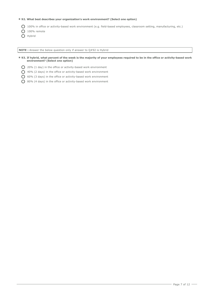# **\* 92. What best describes your organization's work environment? (Select one option)**

100% in office or activity-based work environment (e.g. field-based employees, classroom setting, manufacturing, etc.)

 $O$  100% remote

O Hybrid

**NOTE :** Answer the below question only if answer to Q#92 is Hybrid

**\* 93. If hybrid, what percent of the week is the majority of your employees required to be in the office or activity-based work environment? (Select one option)**

- 20% (1 day) in the office or activity-based work environment
- 40% (2 days) in the office or activity-based work environment
- 60% (3 days) in the office or activity-based work environment
- 80% (4 days) in the office or activity-based work environment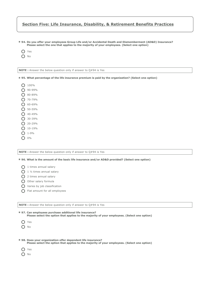# **Section Five: Life Insurance, Disability, & Retirement Benefits Practices**

**\* 94. Do you offer your employees Group Life and/or Accidental Death and Dismemberment (AD&D) Insurance? Please select the one that applies to the majority of your employees. (Select one option)**

O Yes

 $O$  No

| <b>NOTE</b> : Answer the below question only if answer to $Q#94$ is Yes                                                                                      |
|--------------------------------------------------------------------------------------------------------------------------------------------------------------|
| * 95. What percentage of the life insurance premium is paid by the organization? (Select one option)                                                         |
| 100%                                                                                                                                                         |
| 90-99%                                                                                                                                                       |
| 80-89%                                                                                                                                                       |
| 70-79%                                                                                                                                                       |
| 60-69%                                                                                                                                                       |
| 50-59%                                                                                                                                                       |
| 40-49%                                                                                                                                                       |
| 30-39%                                                                                                                                                       |
| 20-29%                                                                                                                                                       |
| 10-19%                                                                                                                                                       |
| $1 - 9%$                                                                                                                                                     |
| 0%                                                                                                                                                           |
|                                                                                                                                                              |
|                                                                                                                                                              |
| <b>NOTE</b> : Answer the below question only if answer to $Q#94$ is Yes                                                                                      |
| * 96. What is the amount of the basic life insurance and/or AD&D provided? (Select one option)                                                               |
| 1 times annual salary                                                                                                                                        |
| 1 1/2 times annual salary                                                                                                                                    |
| 2 times annual salary                                                                                                                                        |
| Other salary formula                                                                                                                                         |
| Varies by job classification                                                                                                                                 |
| Flat amount for all employees<br>( )                                                                                                                         |
|                                                                                                                                                              |
|                                                                                                                                                              |
| <b>NOTE</b> : Answer the below question only if answer to $Q#94$ is Yes                                                                                      |
| * 97. Can employees purchase additional life insurance?<br>Please select the option that applies to the majority of your employees. (Select one option)      |
| $\left( \ \right)$<br>Yes                                                                                                                                    |
| No                                                                                                                                                           |
|                                                                                                                                                              |
|                                                                                                                                                              |
| * 98. Does your organization offer dependent life insurance?<br>Please select the option that applies to the majority of your employees. (Select one option) |
|                                                                                                                                                              |
| Yes                                                                                                                                                          |
| No                                                                                                                                                           |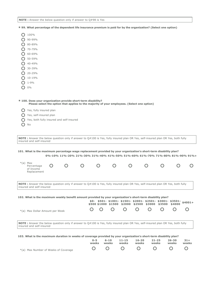**NOTE :** Answer the below question only if answer to Q#98 is Yes

|  |  | * 99. What percentage of the dependent life insurance premium is paid for by the organization? (Select one option) |  |  |  |
|--|--|--------------------------------------------------------------------------------------------------------------------|--|--|--|
|--|--|--------------------------------------------------------------------------------------------------------------------|--|--|--|

| 100%       |
|------------|
| 90-99%     |
| 80-89%     |
| 70-79%     |
| 60-69%     |
| 50-59%     |
| $40 - 49%$ |
| 30-39%     |
| $20 - 29%$ |
| $10 - 19%$ |
| 1-9%       |
| 0%         |

\*(a) Max Number of Weeks of Coverage

| 103. What is the maximum duration in weeks of coverage provided by your organization's short-term disability plan?                                                    |     |                                                                                              | $0 - 5$<br>weeks | $6 - 10$<br>weeks | $11 - 15$<br>weeks | $16 - 20$<br>weeks                                                                                                     | $21 - 25$<br>weeks | $26 - 30$<br>weeks | $31 +$<br>weeks |
|-----------------------------------------------------------------------------------------------------------------------------------------------------------------------|-----|----------------------------------------------------------------------------------------------|------------------|-------------------|--------------------|------------------------------------------------------------------------------------------------------------------------|--------------------|--------------------|-----------------|
|                                                                                                                                                                       |     |                                                                                              |                  |                   |                    |                                                                                                                        |                    |                    |                 |
| NOTE: Answer the below question only if answer to Q#100 is Yes, fully insured plan OR Yes, self-insured plan OR Yes, both fully<br>insured and self-insured           |     |                                                                                              |                  |                   |                    |                                                                                                                        |                    |                    |                 |
| *(a) Max Dollar Amount per Week                                                                                                                                       |     |                                                                                              |                  |                   |                    |                                                                                                                        |                    |                    |                 |
| 102. What is the maximum weekly benefit amount provided by your organization's short-term disability plan?                                                            |     |                                                                                              |                  |                   |                    | $$0-$ \$501- \$1001- \$1501- \$2001- \$2501- \$3001- \$3501-<br>\$500 \$1000 \$1500 \$2000 \$2500 \$3000 \$3500 \$4000 |                    |                    | $$4001+$        |
| NOTE: Answer the below question only if answer to Q#100 is Yes, fully insured plan OR Yes, self-insured plan OR Yes, both fully<br>insured and self-insured           |     |                                                                                              |                  |                   |                    |                                                                                                                        |                    |                    |                 |
| $*(a)$ Max<br>Percentage<br>of Income<br>Replacement                                                                                                                  | ( ) |                                                                                              |                  |                   |                    |                                                                                                                        |                    |                    |                 |
| 101. What is the maximum percentage wage replacement provided by your organization's short-term disability plan?                                                      |     | 0%-10% 11%-20% 21%-30% 31%-40% 41%-50% 51%-60% 61%-70% 71%-80% 81%-90% 91%+                  |                  |                   |                    |                                                                                                                        |                    |                    |                 |
| <b>NOTE</b> : Answer the below question only if answer to $Q#100$ is Yes, fully insured plan OR Yes, self-insured plan OR Yes, both fully<br>insured and self-insured |     |                                                                                              |                  |                   |                    |                                                                                                                        |                    |                    |                 |
| Yes, self-insured plan<br>No                                                                                                                                          |     | Yes, both fully insured and self-insured                                                     |                  |                   |                    |                                                                                                                        |                    |                    |                 |
| Yes, fully insured plan                                                                                                                                               |     |                                                                                              |                  |                   |                    |                                                                                                                        |                    |                    |                 |
| * 100. Does your organization provide short-term disability?                                                                                                          |     | Please select the option that applies to the majority of your employees. (Select one option) |                  |                   |                    |                                                                                                                        |                    |                    |                 |
| 0%                                                                                                                                                                    |     |                                                                                              |                  |                   |                    |                                                                                                                        |                    |                    |                 |
| $1 - 9%$                                                                                                                                                              |     |                                                                                              |                  |                   |                    |                                                                                                                        |                    |                    |                 |
| 10-19%                                                                                                                                                                |     |                                                                                              |                  |                   |                    |                                                                                                                        |                    |                    |                 |
| 20-29%                                                                                                                                                                |     |                                                                                              |                  |                   |                    |                                                                                                                        |                    |                    |                 |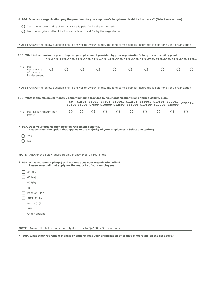# **\* 104. Does your organization pay the premium for you employee's long-term disability insurance? (Select one option)**

- $\bigcirc$  Yes, the long-term disability insurance is paid for by the organization
- $\bigcirc$  No, the long-term disability insurance is not paid for by the organization

| NOTE : Answer the below question only if answer to $Q#104$ is Yes, the long-term disability insurance is paid for by the organization |                  |                                                                                              |                  |                  |  |                                                                      |                                                                                                                                                         |                                               |
|---------------------------------------------------------------------------------------------------------------------------------------|------------------|----------------------------------------------------------------------------------------------|------------------|------------------|--|----------------------------------------------------------------------|---------------------------------------------------------------------------------------------------------------------------------------------------------|-----------------------------------------------|
| 105. What is the maximum percentage wage replacement provided by your organization's long-term disability plan?                       |                  | 0%-10% 11%-20% 21%-30% 31%-40% 41%-50% 51%-60% 61%-70% 71%-80% 81%-90% 91%+                  |                  |                  |  |                                                                      |                                                                                                                                                         |                                               |
| $*(a)$ Max<br>Percentage<br>of Income<br>Replacement                                                                                  | $\left( \right)$ |                                                                                              | $\left( \right)$ | $\left( \right)$ |  | $\left( \begin{array}{c} 1 \end{array} \right)$                      |                                                                                                                                                         | $\left( \begin{array}{c} \end{array} \right)$ |
| NOTE: Answer the below question only if answer to $Q#104$ is Yes, the long-term disability insurance is paid for by the organization  |                  |                                                                                              |                  |                  |  |                                                                      |                                                                                                                                                         |                                               |
| 106. What is the maximum monthly benefit amount provided by your organization's long-term disability plan?                            |                  |                                                                                              |                  |                  |  | \$2500 \$5000 \$7500 \$10000 \$12500 \$15000 \$17500 \$20000 \$25000 | $$0-$ \$2501- \$5001- \$7501- \$10001- \$12501- \$15001- \$17501- \$20001-<br>\$0- \$2501- \$5001- \$7501- \$10001- \$13500- \$35000- \$35000- \$25001+ |                                               |
| *(a) Max Dollar Amount per<br>Month                                                                                                   |                  | $\left( \right)$                                                                             |                  |                  |  |                                                                      |                                                                                                                                                         | ( )                                           |
| * 107. Does your organization provide retirement benefits?<br>Yes<br>No                                                               |                  | Please select the option that applies to the majority of your employees. (Select one option) |                  |                  |  |                                                                      |                                                                                                                                                         |                                               |
| <b>NOTE</b> : Answer the below question only if answer to $Q#107$ is Yes                                                              |                  |                                                                                              |                  |                  |  |                                                                      |                                                                                                                                                         |                                               |
| * 108. What retirement plan(s) and options does your organization offer?                                                              |                  | Please select all that apply for the majority of your employees.                             |                  |                  |  |                                                                      |                                                                                                                                                         |                                               |
| 401(k)<br>401(a)<br>403(b)<br>457<br>Pension Plan<br>SIMPLE IRA<br>Roth $401(k)$<br><b>SEP</b><br>Other options                       |                  |                                                                                              |                  |                  |  |                                                                      |                                                                                                                                                         |                                               |

**NOTE :** Answer the below question only if answer to Q#108 is Other options

**\* 109. What other retirement plan(s) or options does your organization offer that is not found on the list above?**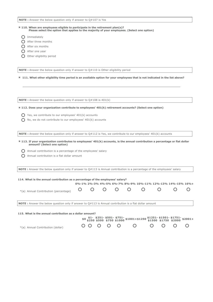**NOTE :** Answer the below question only if answer to Q#107 is Yes

### **\* 110. When are employees eligible to participate in the retirement plan(s)? Please select the option that applies to the majority of your employees. (Select one option)**

- **O** Immediately
- After three months
- $\bigcap$  After six months
- After one year
- O Other eligibility period

**NOTE :** Answer the below question only if answer to Q#110 is Other eligibility period

**\* 111. What other eligibility time period is an available option for your employees that is not indicated in the list above?**

**NOTE** : Answer the below question only if answer to Q#108 is 401(k)

**\* 112. Does your organization contribute to employees' 401(k) retirement accounts? (Select one option)**

- $\bigcirc$  Yes, we contribute to our employees' 401(k) accounts
- $\bigcirc$  No, we do not contribute to our employees' 401(k) accounts

**NOTE :** Answer the below question only if answer to Q#112 is Yes, we contribute to our employees' 401(k) accounts

- **\* 113. If your organization contributes to employees' 401(k) accounts, is the annual contribution a percentage or flat dollar amount? (Select one option)**
	- Annual contribution is a percentage of the employees' salary
	- Annual contribution is a flat dollar amount

**NOTE :** Answer the below question only if answer to Q#113 is Annual contribution is a percentage of the employees' salary

| 114. What is the annual contribution as a percentage of the employees' salary?                                  |  |  |  |                                                                  |  |
|-----------------------------------------------------------------------------------------------------------------|--|--|--|------------------------------------------------------------------|--|
|                                                                                                                 |  |  |  | $0\% - 1\%$ 2%-3% 4%-5% 6%-7% 8%-9% 10%-11% 12%-13% 14%-15% 16%+ |  |
| *(a) Annual Contribution (percentage) 0 0 0 0 0 0 0                                                             |  |  |  |                                                                  |  |
| <b>NOTE:</b> Answer the below question only if answer to $Q#113$ is Annual contribution is a flat dollar amount |  |  |  |                                                                  |  |
| 115. What is the annual contribution as a dollar amount?                                                        |  |  |  |                                                                  |  |

|                                   |  |  | $$0,51-$ \$251- \$501- \$751- \$1001+\$1250 \$1251- \$1501- \$1751- \$2001+<br>\$0 \$250 \$500 \$750 \$1000 \$1001+\$1250 \$1500 \$1750 \$2000 \$2001+ |  |  |
|-----------------------------------|--|--|--------------------------------------------------------------------------------------------------------------------------------------------------------|--|--|
| *(a) Annual Contribution (dollar) |  |  | 0000000000                                                                                                                                             |  |  |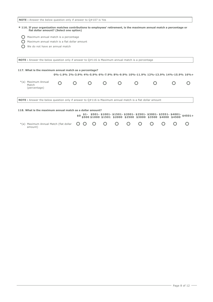| <b>NOTE</b> : Answer the below question only if answer to 0#107 is Yes                                                                                               |  |  |  |                                                                                                                                                     |  |
|----------------------------------------------------------------------------------------------------------------------------------------------------------------------|--|--|--|-----------------------------------------------------------------------------------------------------------------------------------------------------|--|
| * 116. If your organization matches contributions to employees' retirement, is the maximum annual match a percentage or<br>flat dollar amount? (Select one option)   |  |  |  |                                                                                                                                                     |  |
| Maximum annual match is a percentage                                                                                                                                 |  |  |  |                                                                                                                                                     |  |
| Maximum annual match is a flat dollar amount                                                                                                                         |  |  |  |                                                                                                                                                     |  |
| We do not have an annual match                                                                                                                                       |  |  |  |                                                                                                                                                     |  |
|                                                                                                                                                                      |  |  |  |                                                                                                                                                     |  |
| <b>NOTE</b> : Answer the below question only if answer to 0#116 is Maximum annual match is a percentage                                                              |  |  |  |                                                                                                                                                     |  |
| 117. What is the maximum annual match as a percentage?<br>*(a) Maximum Annual<br>Match                                                                               |  |  |  | 0%-1.9% 2%-3.9% 4%-5.9% 6%-7.9% 8%-9.9% 10%-11.9% 12%-13.9% 14%-15.9% 16%+                                                                          |  |
| (percentage)                                                                                                                                                         |  |  |  |                                                                                                                                                     |  |
| NOTE: Answer the below question only if answer to Q#116 is Maximum annual match is a flat dollar amount<br>118. What is the maximum annual match as a dollar amount? |  |  |  |                                                                                                                                                     |  |
|                                                                                                                                                                      |  |  |  | $$0$ \$1- \$501-\$1001-\$1501-\$2001-\$2501-\$3001-\$3551-\$4001-\$4501+<br>\$0 \$500\$1000\$1501 \$2000 \$2500 \$3000 \$3500 \$4000 \$4500 \$4501+ |  |

| $*$ (a) Maximum Annual Match (flat dollar $O$ O O O O O O O O O O O O<br>amount) |  |  |  |  |  |  |  |  |  |  |  |
|----------------------------------------------------------------------------------|--|--|--|--|--|--|--|--|--|--|--|
|----------------------------------------------------------------------------------|--|--|--|--|--|--|--|--|--|--|--|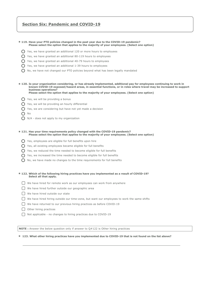# **Section Six: Pandemic and COVID-19**

#### **\* 119. Have your PTO policies changed in the past year due to the COVID-19 pandemic? Please select the option that applies to the majority of your employees. (Select one option)**

- $\bigcap$  Yes, we have granted an additional 120 or more hours to employees
- $\bigcirc$  Yes, we have granted an additional 80-119 hours to employees
- Yes, we have granted an additional 40-79 hours to employees
- Yes, we have granted an additional 1-39 hours to employees
- $\bigcap$  No, we have not changed our PTO policies beyond what has been legally mandated

**\* 120. Is your organization considering, or has already implemented, additional pay for employees continuing to work in known COVID-19 exposed/hazard areas, in essential functions, or in roles where travel may be increased to support business operations? Please select the option that applies to the majority of your employees. (Select one option)**

- $\bigcap$  Yes, we will be providing a bonus
- $\bigcirc$  Yes, we will be providing an hourly differential
- $\bigcap$  Yes, we are considering but have not yet made a decision
- $\bigcap$  No
- N/A does not apply to my organization
- **\* 121. Has your time requirements policy changed with the COVID-19 pandemic? Please select the option that applies to the majority of your employees. (Select one option)**
	- Yes, employees are eligible for full benefits upon hire
	- $\bigcap$  Yes, all existing employees became eligible for full benefits
	- $\bigcirc$  Yes, we reduced the time needed to become eligible for full benefits
	- $\bigcirc$  Yes, we increased the time needed to become eligible for full benefits
	- $\bigcirc$  No, we have made no changes to the time requirements for full benefits

**\* 122. Which of the following hiring practices have you implemented as a result of COVID-19? Select all that apply.**

- $\Box$  We have hired for remote work as our employees can work from anywhere
- We have hired further outside our geographic area
- We have hired outside our state
- We have hired hiring outside our time-zone, but want our employees to work the same shifts
- We have returned to our previous hiring practices as before COVID-19
- O Other hiring practices
- □ Not applicable no changes to hiring practices due to COVID-19

**NOTE :** Answer the below question only if answer to Q#122 is Other hiring practices

#### **\* 123. What other hiring practices have you implemented due to COVID-19 that is not found on the list above?**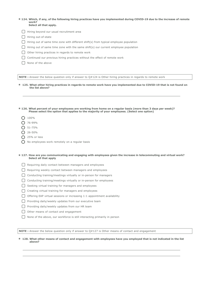#### **\* 124. Which, if any, of the following hiring practices have you implemented during COVID-19 due to the increase of remote work? Select all that apply.**

- Hiring beyond our usual recruitment area
- Hiring out-of-state
- $\bigcap$  Hiring out of same time zone with different shift(s) from typical employee population
- $\bigcap$  Hiring out of same time zone with the same shift(s) our current employee population
- $\Box$  Other hiring practices in regards to remote work
- Continued our previous hiring practices without the effect of remote work
- None of the above

**NOTE :** Answer the below question only if answer to Q#124 is Other hiring practices in regards to remote work

**\* 125. What other hiring practices in regards to remote work have you implemented due to COVID-19 that is not found on the list above?**

**\* 126. What percent of your employees are working from home on a regular basis (more than 3 days per week)? Please select the option that applies to the majority of your employees. (Select one option)**

- $O$  100%
- $O$  76-99%
- $O$  51-75%
- $O$  26-50%
- $\bigcap$  25% or less
- $\bigcap$  No employees work remotely on a regular basis

**\* 127. How are you communicating and engaging with employees given the increase in telecommuting and virtual work? Select all that apply**

- Requiring daily contact between managers and employees
- Requiring weekly contact between managers and employees
- Conducting training/meetings virtually or in-person for managers
- Conducting training/meetings virtually or in-person for employees
- $\Box$  Seeking virtual training for managers and employees
- Creating virtual training for managers and employees
- $\Box$  Offering EAP virtual sessions or increasing 1:1 appointment availability
- $\Box$  Providing daily/weekly updates from our executive team
- $\bigcap$  Providing daily/weekly updates from our HR team
- $\bigcap$  Other means of contact and engagement
- $\Box$  None of the above, our workforce is still interacting primarily in person

**NOTE** : Answer the below question only if answer to Q#127 is Other means of contact and engagement

**\* 128. What other means of contact and engagement with employees have you employed that is not indicated in the list above?**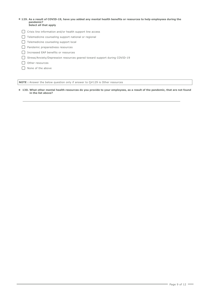#### **\* 129. As a result of COVID-19, have you added any mental health benefits or resources to help employees during the pandemic? Select all that apply**

- Crisis line information and/or health support line access
- Telemedicine counseling support national or regional
- Telemedicine counseling support local
- **Pandemic preparedness resources**
- □ Increased EAP benefits or resources
- Stress/Anxiety/Depression resources geared toward support during COVID-19
- O Other resources
- □ None of the above

**NOTE :** Answer the below question only if answer to Q#129 is Other resources

**\* 130. What other mental health resources do you provide to your employees, as a result of the pandemic, that are not found in the list above?**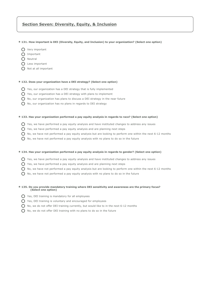# **Section Seven: Diversity, Equity, & Inclusion**

#### **\* 131. How important is DEI (Diversity, Equity, and Inclusion) to your organization? (Select one option)**

- O Very important
- O Important
- $\bigcap$  Neutral
- Less important
- O Not at all important

# **\* 132. Does your organization have a DEI strategy? (Select one option)**

- Yes, our organization has a DEI strategy that is fully implemented
- $\bigcap$  Yes, our organization has a DEI strategy with plans to implement
- $\bigcirc$  No, our organization has plans to discuss a DEI strategy in the near future
- No, our organization has no plans in regards to DEI strategy

# **\* 133. Has your organization performed a pay equity analysis in regards to race? (Select one option)**

- $\bigcap$  Yes, we have performed a pay equity analysis and have instituted changes to address any issues
- $\bigcap$  Yes, we have performed a pay equity analysis and are planning next steps
- $\Omega$  No, we have not performed a pay equity analysis but are looking to perform one within the next 6-12 months
- $\bigcap$  No, we have not performed a pay equity analysis with no plans to do so in the future

### **\* 134. Has your organization performed a pay equity analysis in regards to gender? (Select one option)**

- $\bigcap$  Yes, we have performed a pay equity analysis and have instituted changes to address any issues
- $\bigcap$  Yes, we have performed a pay equity analysis and are planning next steps
- $\bigcirc$  No, we have not performed a pay equity analysis but are looking to perform one within the next 6-12 months
- $\bigcirc$  No, we have not performed a pay equity analysis with no plans to do so in the future

# **\* 135. Do you provide mandatory training where DEI sensitivity and awareness are the primary focus? (Select one option)**

- $\bigcap$  Yes, DEI training is mandatory for all employees
- Yes, DEI training is voluntary and encouraged for employees
- $O$  No, we do not offer DEI training currently, but would like to in the next 6-12 months
- $\bigcap$  No, we do not offer DEI training with no plans to do so in the future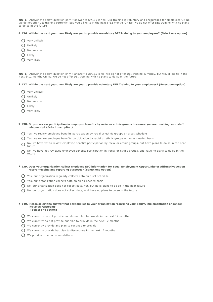**NOTE :** Answer the below question only if answer to Q#135 is Yes, DEI training is voluntary and encouraged for employees OR No, we do not offer DEI training currently, but would like to in the next 6-12 months OR No, we do not offer DEI training with no plans to do so in the future

- **\* 136. Within the next year, how likely are you to provide mandatory DEI Training to your employees? (Select one option)**
	- O Very unlikely
	- O Unlikely
	- O Not sure yet
	- O Likely
	- O Very likely

**NOTE :** Answer the below question only if answer to Q#135 is No, we do not offer DEI training currently, but would like to in the next 6-12 months OR No, we do not offer DEI training with no plans to do so in the future

- **\* 137. Within the next year, how likely are you to provide voluntary DEI Training to your employees? (Select one option)**
	- O Very unlikely
	- O Unlikely
	- O Not sure yet
	- $\bigcap$  Likely
	- O Very likely
- **\* 138. Do you review participation in employee benefits by racial or ethnic groups to ensure you are reaching your staff adequately? (Select one option)**
	- $\bigcap$  Yes, we review employee benefits participation by racial or ethnic groups on a set schedule
	- Yes, we review employee benefits participation by racial or ethnic groups on an as-needed basis
	- $\bigcirc$ No, we have yet to review employee benefits participation by racial or ethnic groups, but have plans to do so in the near future
	- $\Omega$ No, we have not reviewed employee benefits participation by racial or ethnic groups, and have no plans to do so in the future
- **\* 139. Does your organization collect employee EEO information for Equal Employment Opportunity or Affirmative Action record-keeping and reporting purposes? (Select one option)**
	- Yes, our organization regularly collects data on a set schedule
	- $\bigcap$  Yes, our organization collects data on an as-needed basis
	- $O$  No, our organization does not collect data, yet, but have plans to do so in the near future
	- $\bigcirc$  No, our organization does not collect data, and have no plans to do so in the future

#### **\* 140. Please select the answer that best applies to your organization regarding your policy/implementation of genderinclusive restrooms. (Select one option)**

- $\bigcirc$  We currently do not provide and do not plan to provide in the next 12 months
- $\bigcap$  We currently do not provide but plan to provide in the next 12 months
- $\bigcirc$  We currently provide and plan to continue to provide
- $\bigcap$  We currently provide but plan to discontinue in the next 12 months
- We provide other accommodations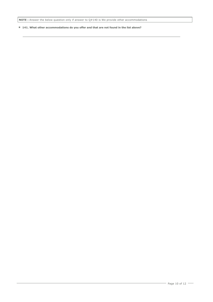**NOTE :** Answer the below question only if answer to Q#140 is We provide other accommodations

**\* 141. What other accommodations do you offer and that are not found in the list above?**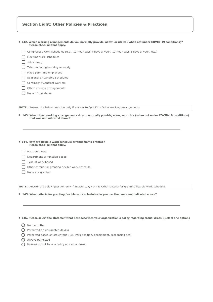# **Section Eight: Other Policies & Practices**

**\* 142. Which working arrangements do you normally provide, allow, or utilize (when not under COVID-19 conditions)? Please check all that apply.**

- Compressed work schedules (e.g., 10-hour days 4 days a week, 12-hour days 3 days a week, etc.)
- Flextime work schedules
- □ Job sharing
- $\Box$  Telecommuting/working remotely
- $\Box$  Fixed part-time employees
- $\bigcap$  Seasonal or variable schedules
- Contingent/Contract workers
- O Other working arrangements
- $\bigcap$  None of the above

**NOTE** : Answer the below question only if answer to Q#142 is Other working arrangements

- **\* 143. What other working arrangements do you normally provide, allow, or utilize (when not under COVID-19 conditions) that was not indicated above?**
- **\* 144. How are flexible work schedule arrangements granted? Please check all that apply.**
	- Position based
	- Department or function based
	- Type of work based
	- $\Box$  Other criteria for granting flexible work schedule
	- $\bigcap$  None are granted

**NOTE :** Answer the below question only if answer to Q#144 is Other criteria for granting flexible work schedule

**\* 145. What criteria for granting flexible work schedules do you use that were not indicated above?**

**\* 146. Please select the statement that best describes your organization's policy regarding casual dress. (Select one option)**

- O Not permitted
- $\bigcap$  Permitted on designated day(s)
- $\bigcap$  Permitted based on set criteria (i.e. work position, department, responsibilities)
- Always permitted
- $\bigcap$  N/A-we do not have a policy on casual dress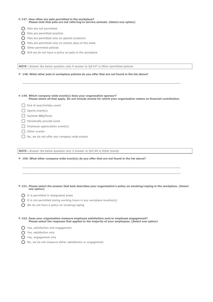#### **\* 147. How often are pets permitted in the workplace? Please note that pets are not referring to service animals. (Select one option)**

- $\bigcirc$  Pets are not permitted
- Pets are permitted anytime
- $\bigcap$  Pets are permitted only on special occasions
- $\bigcap$  Pets are permitted only on certain days of the week
- O Other permitted policies
- $\bigcirc$  N/A-we do not have a policy on pets in the workplace

**NOTE :** Answer the below question only if answer to Q#147 is Other permitted policies

**\* 148. What other pets in workplace policies do you offer that are not found in the list above?**

**\* 149. Which company-wide event(s) does your organization sponsor? Please select all that apply. Do not include events for which your organization makes no financial contribution.**

- End of year/holiday event
- $\Box$  Sports event(s)
- Summer BBQ/Picnic
- $\Box$  Periodically provide lunch
- $\Box$  Employee appreciation event(s)
- O Other events
- ◯ No, we do not offer any company-wide events

**NOTE :** Answer the below question only if answer to Q#149 is Other events

**\* 150. What other company-wide event(s) do you offer that are not found in the list above?**

# **\* 151. Please select the answer that best describes your organization's policy on smoking/vaping in the workplace. (Select one option)**

- $\bigcirc$  It is permitted in designated areas
- $\bigcap$  It is not permitted during working hours in any workplace location(s)
- We do not have a policy on smoking/vaping
- **\* 152. Does your organization measure employee satisfaction and/or employee engagement? Please select the response that applies to the majority of your employees. (Select one option)**
	- **O** Yes, satisfaction and engagement
	- **O** Yes, satisfaction only
	- Yes, engagement only
	- $\bigcap$  No, we do not measure either satisfaction or engagement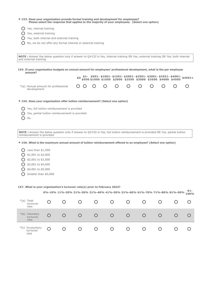|                                                |                                                      | * 153. Does your organization provide formal training and development for employees? |                                                              |                                                                                |  |                                                                                                |                                                                                                                                                                                                                                                                                                                                                                                            |
|------------------------------------------------|------------------------------------------------------|--------------------------------------------------------------------------------------|--------------------------------------------------------------|--------------------------------------------------------------------------------|--|------------------------------------------------------------------------------------------------|--------------------------------------------------------------------------------------------------------------------------------------------------------------------------------------------------------------------------------------------------------------------------------------------------------------------------------------------------------------------------------------------|
|                                                |                                                      |                                                                                      |                                                              |                                                                                |  |                                                                                                |                                                                                                                                                                                                                                                                                                                                                                                            |
|                                                |                                                      |                                                                                      |                                                              |                                                                                |  |                                                                                                |                                                                                                                                                                                                                                                                                                                                                                                            |
| Yes, both internal and external training       |                                                      |                                                                                      |                                                              |                                                                                |  |                                                                                                |                                                                                                                                                                                                                                                                                                                                                                                            |
|                                                |                                                      |                                                                                      |                                                              |                                                                                |  |                                                                                                |                                                                                                                                                                                                                                                                                                                                                                                            |
|                                                |                                                      |                                                                                      |                                                              |                                                                                |  |                                                                                                |                                                                                                                                                                                                                                                                                                                                                                                            |
|                                                |                                                      |                                                                                      |                                                              |                                                                                |  |                                                                                                |                                                                                                                                                                                                                                                                                                                                                                                            |
|                                                |                                                      |                                                                                      |                                                              |                                                                                |  |                                                                                                |                                                                                                                                                                                                                                                                                                                                                                                            |
|                                                |                                                      |                                                                                      |                                                              |                                                                                |  |                                                                                                |                                                                                                                                                                                                                                                                                                                                                                                            |
|                                                |                                                      |                                                                                      |                                                              |                                                                                |  |                                                                                                |                                                                                                                                                                                                                                                                                                                                                                                            |
|                                                |                                                      |                                                                                      |                                                              |                                                                                |  |                                                                                                |                                                                                                                                                                                                                                                                                                                                                                                            |
|                                                |                                                      |                                                                                      |                                                              |                                                                                |  |                                                                                                |                                                                                                                                                                                                                                                                                                                                                                                            |
|                                                |                                                      |                                                                                      |                                                              |                                                                                |  |                                                                                                |                                                                                                                                                                                                                                                                                                                                                                                            |
|                                                |                                                      |                                                                                      |                                                              |                                                                                |  |                                                                                                |                                                                                                                                                                                                                                                                                                                                                                                            |
| Yes, partial tuition reimbursement is provided |                                                      |                                                                                      |                                                              |                                                                                |  |                                                                                                |                                                                                                                                                                                                                                                                                                                                                                                            |
|                                                | \$0\$<br>Yes, full tuition reimbursement is provided |                                                                                      | No, we do not offer any formal internal or external training | * 155. Does your organization offer tuition reimbursement? (Select one option) |  | Please select the response that applies to the majority of your employees. (Select one option) | NOTE: Answer the below question only if answer to Q#153 is Yes, internal training OR Yes, external training OR Yes, both internal<br>154. If your organization budgets an annual amount for employees' professional development, what is the per employee<br>$$1-$ \$501-\$1001-\$1501-\$2001-\$2501-\$3001-\$3551-\$4001-\$4501+<br>\$500\$1000\$1500\$2000\$2500\$3000\$3500\$4000\$4500 |

# **\* 156. What is the maximum annual amount of tuition reimbursement offered to an employee? (Select one option)**

- $O$  Less than \$1,000  $\bigcirc$  \$1,001 to \$2,000
- $\bigcirc$  \$2,001 to \$3,000
- $\bigcirc$  \$3,001 to \$4,000
- $\bigcirc$  \$4,001 to \$5,000
- Greater than \$5,000

### **157. What is your organization's turnover rate(s) prior to February 2022?**

|                                           |   |        |   |   |        |        | 0%-10% 11%-20% 21%-30% 31%-40% 41%-50% 51%-60% 61%-70% 71%-80% 81%-90% | $91 -$<br>100% |
|-------------------------------------------|---|--------|---|---|--------|--------|------------------------------------------------------------------------|----------------|
| $*(a)$<br>Total<br>turnover<br>rate       |   | Ő      |   | Ő | Ő      | $\cup$ |                                                                        |                |
| $*(b)$<br>Voluntary<br>turnover<br>rate   |   | $\cup$ | Ő | O | $\cup$ | $\cup$ |                                                                        |                |
| $*(c)$<br>Involuntary<br>turnover<br>rate | Ω | Ő      |   | Ő | Ő      | $\cup$ |                                                                        |                |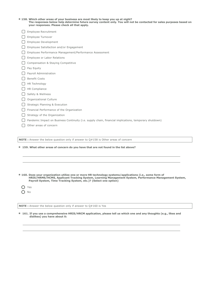| * 158. Which other areas of your business are most likely to keep you up at night?                                   |
|----------------------------------------------------------------------------------------------------------------------|
| The responses below help determine future survey content only. You will not be contacted for sales purposes based on |
| your responses. Please check all that apply.                                                                         |

- Employee Recruitment
- Employee Turnover
- Employee Development
- Employee Satisfaction and/or Engagement
- Employee Performance Management/Performance Assessment
- Employee or Labor Relations
- C Compensation & Staying Competitive
- Pay Equity
- Payroll Administration
- □ Benefit Costs
- $\Box$  HR Technology
- $\Box$  HR Compliance
- Safety & Wellness
- O Organizational Culture
- Strategic Planning & Execution
- Financial Performance of the Organization
- $\Box$  Strategy of the Organization
- Pandemic Impact on Business Continuity (i.e. supply chain, financial implications, temporary shutdown)
- O Other areas of concern

**NOTE :** Answer the below question only if answer to Q#158 is Other areas of concern

**\* 159. What other areas of concern do you have that are not found in the list above?**

- **\* 160. Does your organization utilize one or more HR technology systems/applications (i.e., some form of HRIS/HRMS/HCMS, Applicant Tracking System, Learning Management System, Performance Management System, Payroll System, Time Tracking System, etc.)? (Select one option)**
	- O Yes  $O$  No

**NOTE :** Answer the below question only if answer to Q#160 is Yes

**\* 161. If you use a comprehensive HRIS/HRCM application, please tell us which one and any thoughts (e.g., likes and dislikes) you have about it:**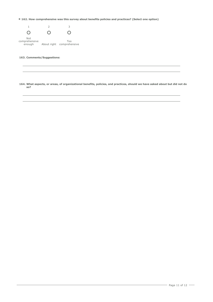**\* 162. How comprehensive was this survey about benefits policies and practices? (Select one option)**



# **163. Comments/Suggestions:**

 **164. What aspects, or areas, of organizational benefits, policies, and practices, should we have asked about but did not do so?**